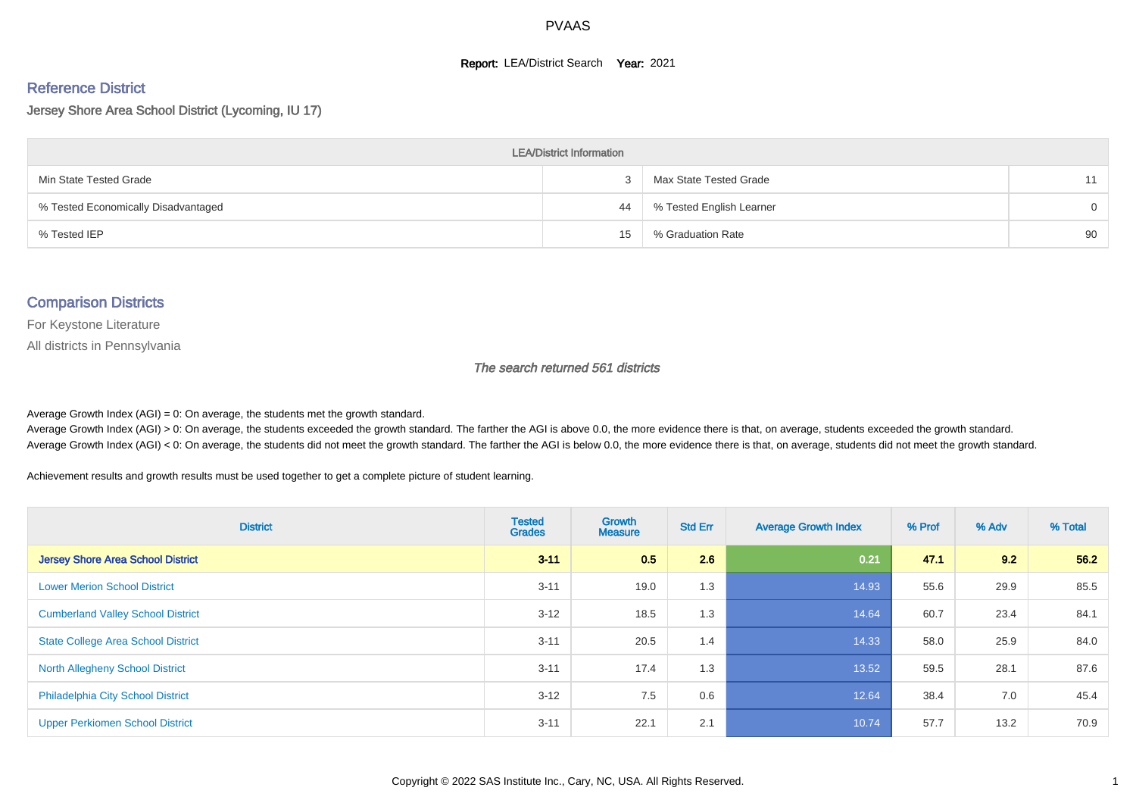#### **Report: LEA/District Search Year: 2021**

# Reference District

Jersey Shore Area School District (Lycoming, IU 17)

| <b>LEA/District Information</b>     |    |                          |          |  |  |  |  |  |  |  |
|-------------------------------------|----|--------------------------|----------|--|--|--|--|--|--|--|
| Min State Tested Grade              |    | Max State Tested Grade   | 11       |  |  |  |  |  |  |  |
| % Tested Economically Disadvantaged | 44 | % Tested English Learner | $\Omega$ |  |  |  |  |  |  |  |
| % Tested IEP                        | 15 | % Graduation Rate        | 90       |  |  |  |  |  |  |  |

#### Comparison Districts

For Keystone Literature

All districts in Pennsylvania

The search returned 561 districts

Average Growth Index  $(AGI) = 0$ : On average, the students met the growth standard.

Average Growth Index (AGI) > 0: On average, the students exceeded the growth standard. The farther the AGI is above 0.0, the more evidence there is that, on average, students exceeded the growth standard. Average Growth Index (AGI) < 0: On average, the students did not meet the growth standard. The farther the AGI is below 0.0, the more evidence there is that, on average, students did not meet the growth standard.

Achievement results and growth results must be used together to get a complete picture of student learning.

| <b>District</b>                           | <b>Tested</b><br><b>Grades</b> | Growth<br><b>Measure</b> | <b>Std Err</b> | <b>Average Growth Index</b> | % Prof | % Adv | % Total |
|-------------------------------------------|--------------------------------|--------------------------|----------------|-----------------------------|--------|-------|---------|
| <b>Jersey Shore Area School District</b>  | $3 - 11$                       | 0.5                      | 2.6            | 0.21                        | 47.1   | 9.2   | 56.2    |
| <b>Lower Merion School District</b>       | $3 - 11$                       | 19.0                     | 1.3            | 14.93                       | 55.6   | 29.9  | 85.5    |
| <b>Cumberland Valley School District</b>  | $3 - 12$                       | 18.5                     | 1.3            | 14.64                       | 60.7   | 23.4  | 84.1    |
| <b>State College Area School District</b> | $3 - 11$                       | 20.5                     | 1.4            | 14.33                       | 58.0   | 25.9  | 84.0    |
| <b>North Allegheny School District</b>    | $3 - 11$                       | 17.4                     | 1.3            | 13.52                       | 59.5   | 28.1  | 87.6    |
| <b>Philadelphia City School District</b>  | $3 - 12$                       | 7.5                      | 0.6            | 12.64                       | 38.4   | 7.0   | 45.4    |
| <b>Upper Perkiomen School District</b>    | $3 - 11$                       | 22.1                     | 2.1            | 10.74                       | 57.7   | 13.2  | 70.9    |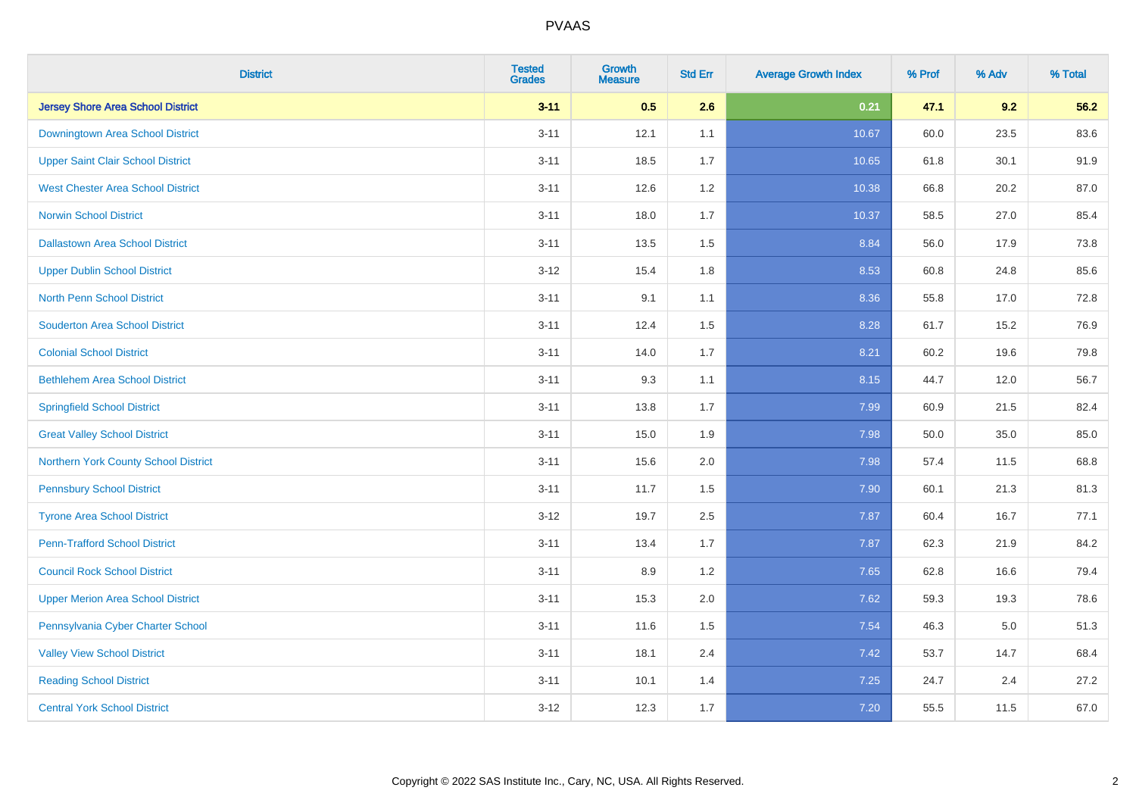| <b>District</b>                          | <b>Tested</b><br><b>Grades</b> | <b>Growth</b><br><b>Measure</b> | <b>Std Err</b> | <b>Average Growth Index</b> | % Prof | % Adv   | % Total |
|------------------------------------------|--------------------------------|---------------------------------|----------------|-----------------------------|--------|---------|---------|
| <b>Jersey Shore Area School District</b> | $3 - 11$                       | 0.5                             | 2.6            | 0.21                        | 47.1   | 9.2     | 56.2    |
| Downingtown Area School District         | $3 - 11$                       | 12.1                            | 1.1            | 10.67                       | 60.0   | 23.5    | 83.6    |
| <b>Upper Saint Clair School District</b> | $3 - 11$                       | 18.5                            | 1.7            | 10.65                       | 61.8   | 30.1    | 91.9    |
| <b>West Chester Area School District</b> | $3 - 11$                       | 12.6                            | 1.2            | 10.38                       | 66.8   | 20.2    | 87.0    |
| <b>Norwin School District</b>            | $3 - 11$                       | 18.0                            | 1.7            | 10.37                       | 58.5   | 27.0    | 85.4    |
| <b>Dallastown Area School District</b>   | $3 - 11$                       | 13.5                            | 1.5            | 8.84                        | 56.0   | 17.9    | 73.8    |
| <b>Upper Dublin School District</b>      | $3 - 12$                       | 15.4                            | 1.8            | 8.53                        | 60.8   | 24.8    | 85.6    |
| <b>North Penn School District</b>        | $3 - 11$                       | 9.1                             | 1.1            | 8.36                        | 55.8   | 17.0    | 72.8    |
| <b>Souderton Area School District</b>    | $3 - 11$                       | 12.4                            | 1.5            | 8.28                        | 61.7   | 15.2    | 76.9    |
| <b>Colonial School District</b>          | $3 - 11$                       | 14.0                            | 1.7            | 8.21                        | 60.2   | 19.6    | 79.8    |
| <b>Bethlehem Area School District</b>    | $3 - 11$                       | 9.3                             | 1.1            | 8.15                        | 44.7   | 12.0    | 56.7    |
| <b>Springfield School District</b>       | $3 - 11$                       | 13.8                            | 1.7            | 7.99                        | 60.9   | 21.5    | 82.4    |
| <b>Great Valley School District</b>      | $3 - 11$                       | 15.0                            | 1.9            | 7.98                        | 50.0   | 35.0    | 85.0    |
| Northern York County School District     | $3 - 11$                       | 15.6                            | 2.0            | 7.98                        | 57.4   | 11.5    | 68.8    |
| <b>Pennsbury School District</b>         | $3 - 11$                       | 11.7                            | 1.5            | 7.90                        | 60.1   | 21.3    | 81.3    |
| <b>Tyrone Area School District</b>       | $3 - 12$                       | 19.7                            | 2.5            | 7.87                        | 60.4   | 16.7    | 77.1    |
| <b>Penn-Trafford School District</b>     | $3 - 11$                       | 13.4                            | 1.7            | 7.87                        | 62.3   | 21.9    | 84.2    |
| <b>Council Rock School District</b>      | $3 - 11$                       | 8.9                             | 1.2            | 7.65                        | 62.8   | 16.6    | 79.4    |
| <b>Upper Merion Area School District</b> | $3 - 11$                       | 15.3                            | 2.0            | 7.62                        | 59.3   | 19.3    | 78.6    |
| Pennsylvania Cyber Charter School        | $3 - 11$                       | 11.6                            | 1.5            | 7.54                        | 46.3   | $5.0\,$ | 51.3    |
| <b>Valley View School District</b>       | $3 - 11$                       | 18.1                            | 2.4            | 7.42                        | 53.7   | 14.7    | 68.4    |
| <b>Reading School District</b>           | $3 - 11$                       | 10.1                            | 1.4            | 7.25                        | 24.7   | 2.4     | 27.2    |
| <b>Central York School District</b>      | $3 - 12$                       | 12.3                            | 1.7            | 7.20                        | 55.5   | 11.5    | 67.0    |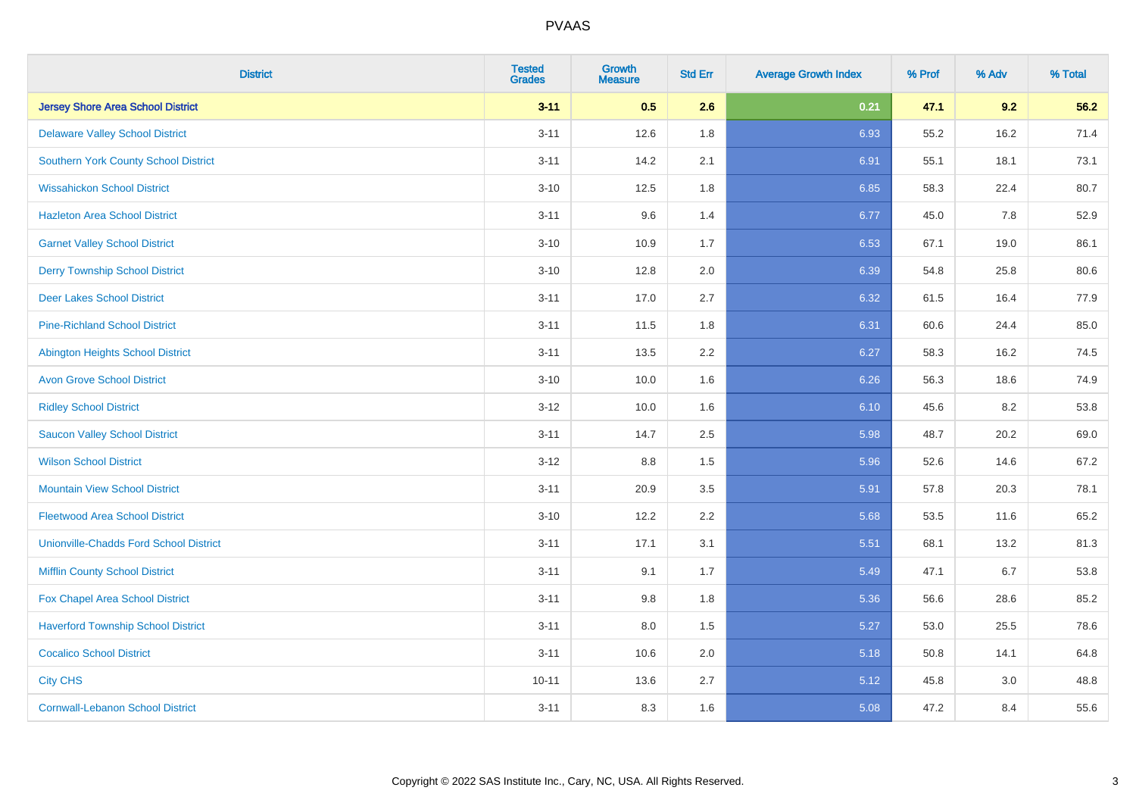| <b>District</b>                               | <b>Tested</b><br><b>Grades</b> | <b>Growth</b><br><b>Measure</b> | <b>Std Err</b> | <b>Average Growth Index</b> | % Prof | % Adv | % Total |
|-----------------------------------------------|--------------------------------|---------------------------------|----------------|-----------------------------|--------|-------|---------|
| <b>Jersey Shore Area School District</b>      | $3 - 11$                       | 0.5                             | 2.6            | 0.21                        | 47.1   | 9.2   | 56.2    |
| <b>Delaware Valley School District</b>        | $3 - 11$                       | 12.6                            | 1.8            | 6.93                        | 55.2   | 16.2  | 71.4    |
| <b>Southern York County School District</b>   | $3 - 11$                       | 14.2                            | 2.1            | 6.91                        | 55.1   | 18.1  | 73.1    |
| <b>Wissahickon School District</b>            | $3 - 10$                       | 12.5                            | 1.8            | 6.85                        | 58.3   | 22.4  | 80.7    |
| <b>Hazleton Area School District</b>          | $3 - 11$                       | 9.6                             | 1.4            | 6.77                        | 45.0   | 7.8   | 52.9    |
| <b>Garnet Valley School District</b>          | $3 - 10$                       | 10.9                            | 1.7            | 6.53                        | 67.1   | 19.0  | 86.1    |
| <b>Derry Township School District</b>         | $3 - 10$                       | 12.8                            | 2.0            | 6.39                        | 54.8   | 25.8  | 80.6    |
| <b>Deer Lakes School District</b>             | $3 - 11$                       | 17.0                            | 2.7            | 6.32                        | 61.5   | 16.4  | 77.9    |
| <b>Pine-Richland School District</b>          | $3 - 11$                       | 11.5                            | 1.8            | 6.31                        | 60.6   | 24.4  | 85.0    |
| <b>Abington Heights School District</b>       | $3 - 11$                       | 13.5                            | 2.2            | 6.27                        | 58.3   | 16.2  | 74.5    |
| <b>Avon Grove School District</b>             | $3 - 10$                       | 10.0                            | 1.6            | 6.26                        | 56.3   | 18.6  | 74.9    |
| <b>Ridley School District</b>                 | $3 - 12$                       | 10.0                            | 1.6            | 6.10                        | 45.6   | 8.2   | 53.8    |
| <b>Saucon Valley School District</b>          | $3 - 11$                       | 14.7                            | 2.5            | 5.98                        | 48.7   | 20.2  | 69.0    |
| <b>Wilson School District</b>                 | $3 - 12$                       | $8.8\,$                         | 1.5            | 5.96                        | 52.6   | 14.6  | 67.2    |
| <b>Mountain View School District</b>          | $3 - 11$                       | 20.9                            | 3.5            | 5.91                        | 57.8   | 20.3  | 78.1    |
| <b>Fleetwood Area School District</b>         | $3 - 10$                       | 12.2                            | 2.2            | 5.68                        | 53.5   | 11.6  | 65.2    |
| <b>Unionville-Chadds Ford School District</b> | $3 - 11$                       | 17.1                            | 3.1            | 5.51                        | 68.1   | 13.2  | 81.3    |
| <b>Mifflin County School District</b>         | $3 - 11$                       | 9.1                             | 1.7            | 5.49                        | 47.1   | 6.7   | 53.8    |
| Fox Chapel Area School District               | $3 - 11$                       | 9.8                             | 1.8            | 5.36                        | 56.6   | 28.6  | 85.2    |
| <b>Haverford Township School District</b>     | $3 - 11$                       | 8.0                             | 1.5            | 5.27                        | 53.0   | 25.5  | 78.6    |
| <b>Cocalico School District</b>               | $3 - 11$                       | 10.6                            | 2.0            | 5.18                        | 50.8   | 14.1  | 64.8    |
| <b>City CHS</b>                               | $10 - 11$                      | 13.6                            | 2.7            | 5.12                        | 45.8   | 3.0   | 48.8    |
| <b>Cornwall-Lebanon School District</b>       | $3 - 11$                       | 8.3                             | 1.6            | 5.08                        | 47.2   | 8.4   | 55.6    |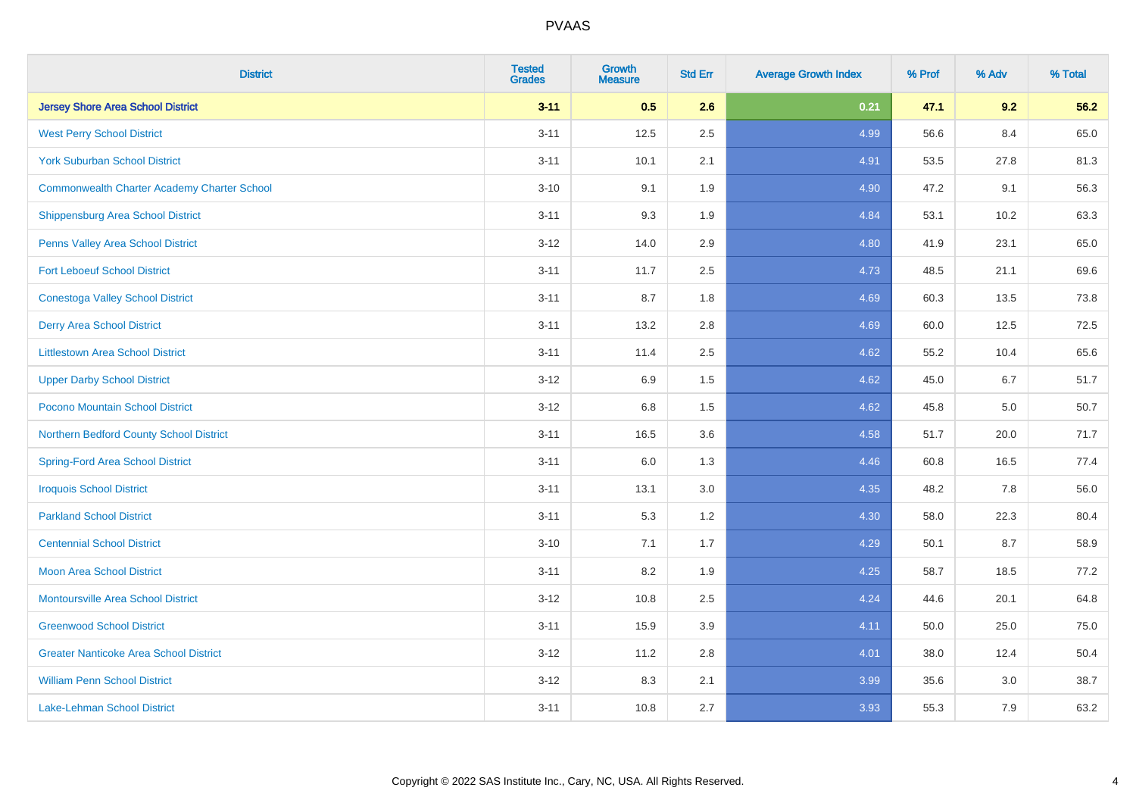| <b>District</b>                                    | <b>Tested</b><br><b>Grades</b> | <b>Growth</b><br><b>Measure</b> | <b>Std Err</b> | <b>Average Growth Index</b> | % Prof | % Adv | % Total |
|----------------------------------------------------|--------------------------------|---------------------------------|----------------|-----------------------------|--------|-------|---------|
| <b>Jersey Shore Area School District</b>           | $3 - 11$                       | 0.5                             | 2.6            | 0.21                        | 47.1   | 9.2   | 56.2    |
| <b>West Perry School District</b>                  | $3 - 11$                       | 12.5                            | 2.5            | 4.99                        | 56.6   | 8.4   | 65.0    |
| <b>York Suburban School District</b>               | $3 - 11$                       | 10.1                            | 2.1            | 4.91                        | 53.5   | 27.8  | 81.3    |
| <b>Commonwealth Charter Academy Charter School</b> | $3 - 10$                       | 9.1                             | 1.9            | 4.90                        | 47.2   | 9.1   | 56.3    |
| <b>Shippensburg Area School District</b>           | $3 - 11$                       | 9.3                             | 1.9            | 4.84                        | 53.1   | 10.2  | 63.3    |
| Penns Valley Area School District                  | $3 - 12$                       | 14.0                            | 2.9            | 4.80                        | 41.9   | 23.1  | 65.0    |
| <b>Fort Leboeuf School District</b>                | $3 - 11$                       | 11.7                            | 2.5            | 4.73                        | 48.5   | 21.1  | 69.6    |
| <b>Conestoga Valley School District</b>            | $3 - 11$                       | 8.7                             | 1.8            | 4.69                        | 60.3   | 13.5  | 73.8    |
| <b>Derry Area School District</b>                  | $3 - 11$                       | 13.2                            | 2.8            | 4.69                        | 60.0   | 12.5  | 72.5    |
| <b>Littlestown Area School District</b>            | $3 - 11$                       | 11.4                            | 2.5            | 4.62                        | 55.2   | 10.4  | 65.6    |
| <b>Upper Darby School District</b>                 | $3 - 12$                       | 6.9                             | 1.5            | 4.62                        | 45.0   | 6.7   | 51.7    |
| <b>Pocono Mountain School District</b>             | $3 - 12$                       | 6.8                             | 1.5            | 4.62                        | 45.8   | 5.0   | 50.7    |
| Northern Bedford County School District            | $3 - 11$                       | 16.5                            | 3.6            | 4.58                        | 51.7   | 20.0  | 71.7    |
| <b>Spring-Ford Area School District</b>            | $3 - 11$                       | 6.0                             | 1.3            | 4.46                        | 60.8   | 16.5  | 77.4    |
| <b>Iroquois School District</b>                    | $3 - 11$                       | 13.1                            | 3.0            | 4.35                        | 48.2   | 7.8   | 56.0    |
| <b>Parkland School District</b>                    | $3 - 11$                       | 5.3                             | 1.2            | 4.30                        | 58.0   | 22.3  | 80.4    |
| <b>Centennial School District</b>                  | $3 - 10$                       | 7.1                             | 1.7            | 4.29                        | 50.1   | 8.7   | 58.9    |
| <b>Moon Area School District</b>                   | $3 - 11$                       | 8.2                             | 1.9            | 4.25                        | 58.7   | 18.5  | 77.2    |
| <b>Montoursville Area School District</b>          | $3 - 12$                       | 10.8                            | 2.5            | 4.24                        | 44.6   | 20.1  | 64.8    |
| <b>Greenwood School District</b>                   | $3 - 11$                       | 15.9                            | 3.9            | 4.11                        | 50.0   | 25.0  | 75.0    |
| <b>Greater Nanticoke Area School District</b>      | $3 - 12$                       | 11.2                            | 2.8            | 4.01                        | 38.0   | 12.4  | 50.4    |
| <b>William Penn School District</b>                | $3 - 12$                       | 8.3                             | 2.1            | 3.99                        | 35.6   | 3.0   | 38.7    |
| Lake-Lehman School District                        | $3 - 11$                       | 10.8                            | 2.7            | 3.93                        | 55.3   | 7.9   | 63.2    |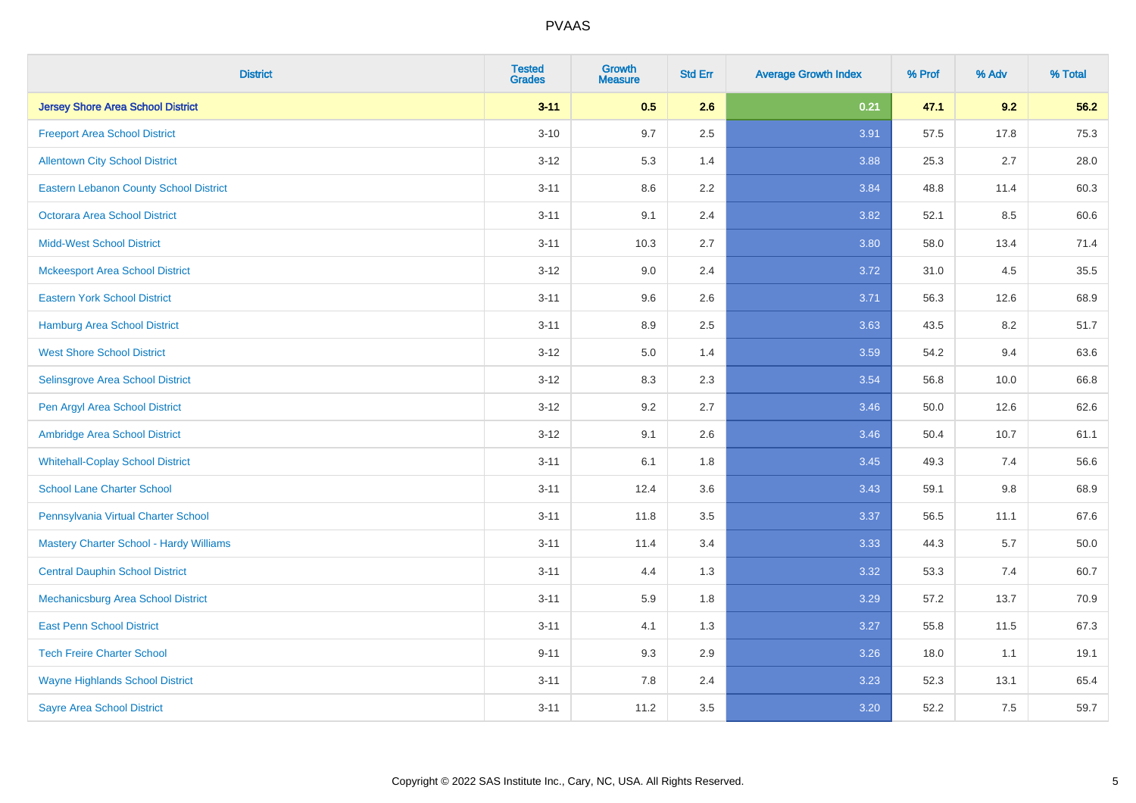| <b>District</b>                          | <b>Tested</b><br><b>Grades</b> | <b>Growth</b><br><b>Measure</b> | <b>Std Err</b> | <b>Average Growth Index</b> | % Prof | % Adv   | % Total |
|------------------------------------------|--------------------------------|---------------------------------|----------------|-----------------------------|--------|---------|---------|
| <b>Jersey Shore Area School District</b> | $3 - 11$                       | 0.5                             | 2.6            | 0.21                        | 47.1   | 9.2     | 56.2    |
| <b>Freeport Area School District</b>     | $3 - 10$                       | 9.7                             | 2.5            | 3.91                        | 57.5   | 17.8    | 75.3    |
| <b>Allentown City School District</b>    | $3 - 12$                       | 5.3                             | 1.4            | 3.88                        | 25.3   | 2.7     | 28.0    |
| Eastern Lebanon County School District   | $3 - 11$                       | 8.6                             | 2.2            | 3.84                        | 48.8   | 11.4    | 60.3    |
| <b>Octorara Area School District</b>     | $3 - 11$                       | 9.1                             | 2.4            | 3.82                        | 52.1   | 8.5     | 60.6    |
| <b>Midd-West School District</b>         | $3 - 11$                       | 10.3                            | 2.7            | 3.80                        | 58.0   | 13.4    | 71.4    |
| <b>Mckeesport Area School District</b>   | $3 - 12$                       | 9.0                             | 2.4            | 3.72                        | 31.0   | 4.5     | 35.5    |
| <b>Eastern York School District</b>      | $3 - 11$                       | 9.6                             | 2.6            | 3.71                        | 56.3   | 12.6    | 68.9    |
| <b>Hamburg Area School District</b>      | $3 - 11$                       | 8.9                             | 2.5            | 3.63                        | 43.5   | 8.2     | 51.7    |
| <b>West Shore School District</b>        | $3 - 12$                       | 5.0                             | 1.4            | 3.59                        | 54.2   | 9.4     | 63.6    |
| Selinsgrove Area School District         | $3 - 12$                       | 8.3                             | 2.3            | 3.54                        | 56.8   | 10.0    | 66.8    |
| Pen Argyl Area School District           | $3 - 12$                       | 9.2                             | 2.7            | 3.46                        | 50.0   | 12.6    | 62.6    |
| Ambridge Area School District            | $3 - 12$                       | 9.1                             | 2.6            | 3.46                        | 50.4   | 10.7    | 61.1    |
| <b>Whitehall-Coplay School District</b>  | $3 - 11$                       | 6.1                             | 1.8            | 3.45                        | 49.3   | 7.4     | 56.6    |
| <b>School Lane Charter School</b>        | $3 - 11$                       | 12.4                            | 3.6            | 3.43                        | 59.1   | $9.8\,$ | 68.9    |
| Pennsylvania Virtual Charter School      | $3 - 11$                       | 11.8                            | 3.5            | 3.37                        | 56.5   | 11.1    | 67.6    |
| Mastery Charter School - Hardy Williams  | $3 - 11$                       | 11.4                            | 3.4            | 3.33                        | 44.3   | 5.7     | 50.0    |
| <b>Central Dauphin School District</b>   | $3 - 11$                       | 4.4                             | 1.3            | 3.32                        | 53.3   | 7.4     | 60.7    |
| Mechanicsburg Area School District       | $3 - 11$                       | 5.9                             | 1.8            | 3.29                        | 57.2   | 13.7    | 70.9    |
| <b>East Penn School District</b>         | $3 - 11$                       | 4.1                             | 1.3            | 3.27                        | 55.8   | 11.5    | 67.3    |
| <b>Tech Freire Charter School</b>        | $9 - 11$                       | 9.3                             | 2.9            | 3.26                        | 18.0   | 1.1     | 19.1    |
| <b>Wayne Highlands School District</b>   | $3 - 11$                       | 7.8                             | 2.4            | 3.23                        | 52.3   | 13.1    | 65.4    |
| <b>Sayre Area School District</b>        | $3 - 11$                       | 11.2                            | 3.5            | 3.20                        | 52.2   | 7.5     | 59.7    |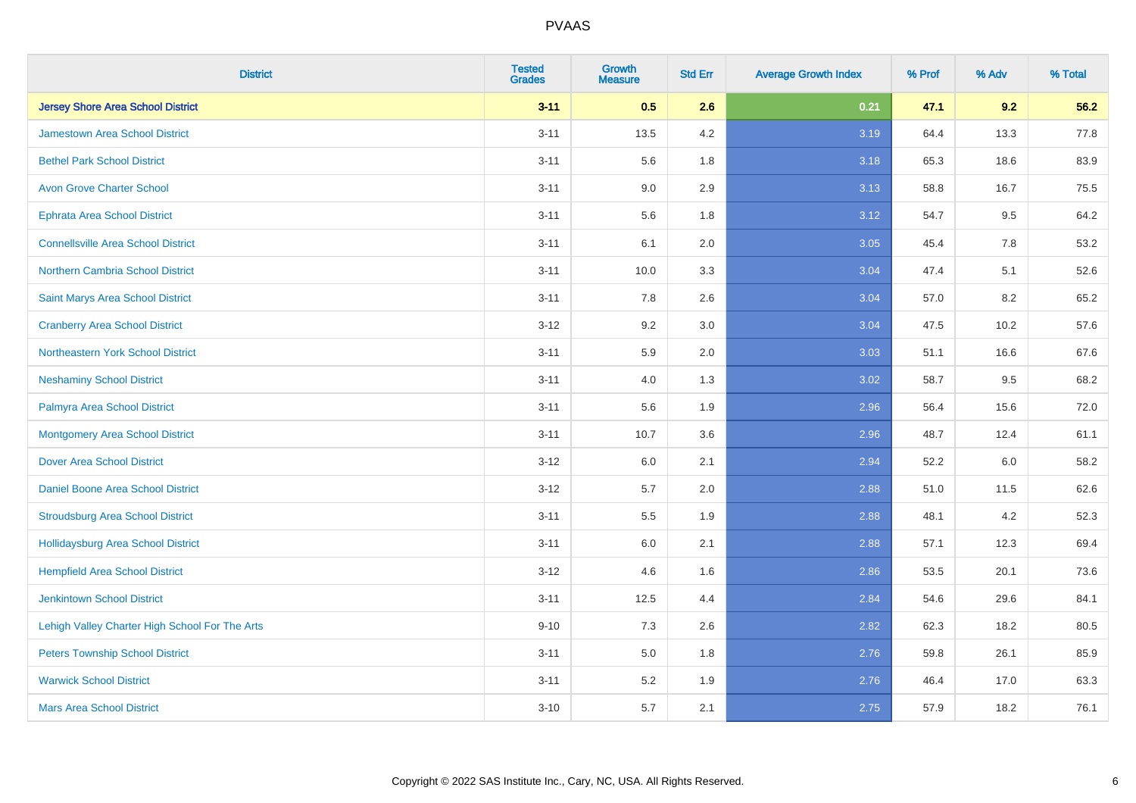| <b>District</b>                                | <b>Tested</b><br><b>Grades</b> | <b>Growth</b><br><b>Measure</b> | <b>Std Err</b> | <b>Average Growth Index</b> | % Prof | % Adv | % Total |
|------------------------------------------------|--------------------------------|---------------------------------|----------------|-----------------------------|--------|-------|---------|
| <b>Jersey Shore Area School District</b>       | $3 - 11$                       | 0.5                             | 2.6            | 0.21                        | 47.1   | 9.2   | 56.2    |
| <b>Jamestown Area School District</b>          | $3 - 11$                       | 13.5                            | 4.2            | 3.19                        | 64.4   | 13.3  | 77.8    |
| <b>Bethel Park School District</b>             | $3 - 11$                       | 5.6                             | 1.8            | 3.18                        | 65.3   | 18.6  | 83.9    |
| <b>Avon Grove Charter School</b>               | $3 - 11$                       | 9.0                             | 2.9            | 3.13                        | 58.8   | 16.7  | 75.5    |
| <b>Ephrata Area School District</b>            | $3 - 11$                       | 5.6                             | 1.8            | 3.12                        | 54.7   | 9.5   | 64.2    |
| <b>Connellsville Area School District</b>      | $3 - 11$                       | 6.1                             | 2.0            | 3.05                        | 45.4   | 7.8   | 53.2    |
| Northern Cambria School District               | $3 - 11$                       | 10.0                            | 3.3            | 3.04                        | 47.4   | 5.1   | 52.6    |
| Saint Marys Area School District               | $3 - 11$                       | 7.8                             | 2.6            | 3.04                        | 57.0   | 8.2   | 65.2    |
| <b>Cranberry Area School District</b>          | $3 - 12$                       | 9.2                             | 3.0            | 3.04                        | 47.5   | 10.2  | 57.6    |
| Northeastern York School District              | $3 - 11$                       | 5.9                             | 2.0            | 3.03                        | 51.1   | 16.6  | 67.6    |
| <b>Neshaminy School District</b>               | $3 - 11$                       | 4.0                             | 1.3            | 3.02                        | 58.7   | 9.5   | 68.2    |
| Palmyra Area School District                   | $3 - 11$                       | 5.6                             | 1.9            | 2.96                        | 56.4   | 15.6  | 72.0    |
| <b>Montgomery Area School District</b>         | $3 - 11$                       | 10.7                            | 3.6            | 2.96                        | 48.7   | 12.4  | 61.1    |
| <b>Dover Area School District</b>              | $3-12$                         | 6.0                             | 2.1            | 2.94                        | 52.2   | 6.0   | 58.2    |
| <b>Daniel Boone Area School District</b>       | $3 - 12$                       | 5.7                             | 2.0            | 2.88                        | 51.0   | 11.5  | 62.6    |
| <b>Stroudsburg Area School District</b>        | $3 - 11$                       | 5.5                             | 1.9            | 2.88                        | 48.1   | 4.2   | 52.3    |
| Hollidaysburg Area School District             | $3 - 11$                       | 6.0                             | 2.1            | 2.88                        | 57.1   | 12.3  | 69.4    |
| <b>Hempfield Area School District</b>          | $3 - 12$                       | 4.6                             | 1.6            | 2.86                        | 53.5   | 20.1  | 73.6    |
| <b>Jenkintown School District</b>              | $3 - 11$                       | 12.5                            | 4.4            | 2.84                        | 54.6   | 29.6  | 84.1    |
| Lehigh Valley Charter High School For The Arts | $9 - 10$                       | 7.3                             | 2.6            | 2.82                        | 62.3   | 18.2  | 80.5    |
| <b>Peters Township School District</b>         | $3 - 11$                       | 5.0                             | 1.8            | 2.76                        | 59.8   | 26.1  | 85.9    |
| <b>Warwick School District</b>                 | $3 - 11$                       | 5.2                             | 1.9            | 2.76                        | 46.4   | 17.0  | 63.3    |
| <b>Mars Area School District</b>               | $3 - 10$                       | 5.7                             | 2.1            | 2.75                        | 57.9   | 18.2  | 76.1    |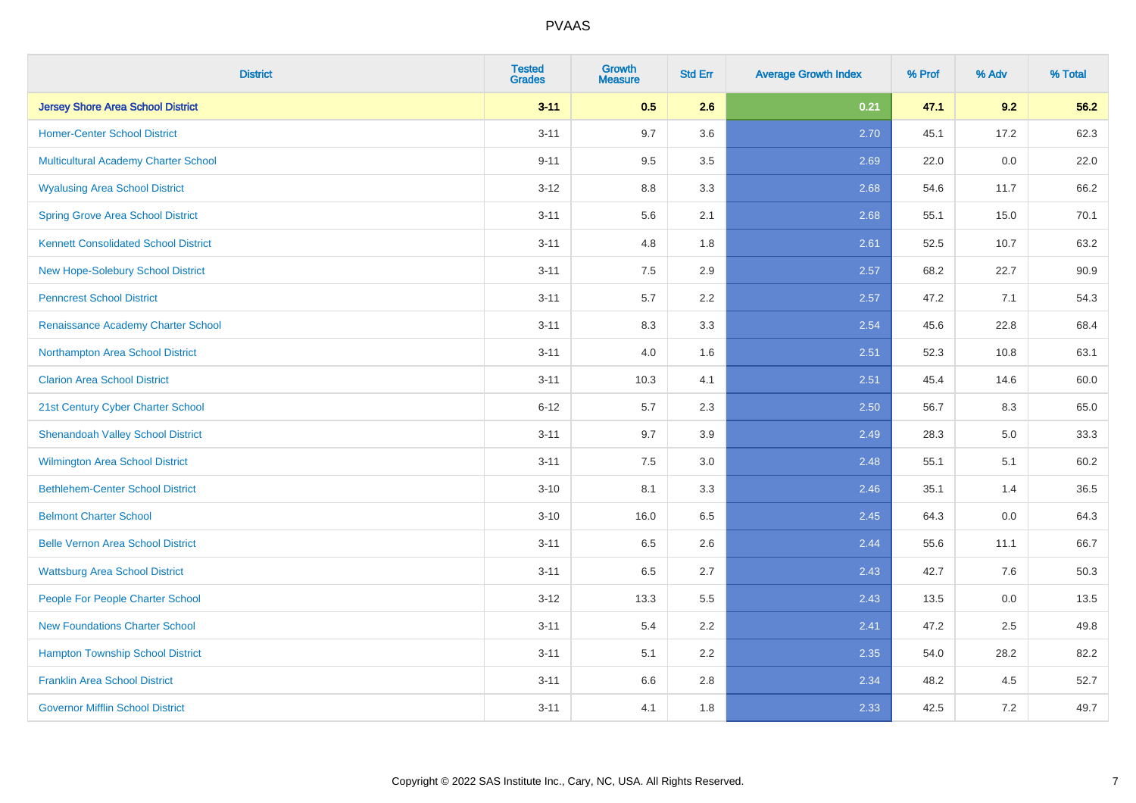| <b>District</b>                             | <b>Tested</b><br><b>Grades</b> | <b>Growth</b><br><b>Measure</b> | <b>Std Err</b> | <b>Average Growth Index</b> | % Prof | % Adv   | % Total |
|---------------------------------------------|--------------------------------|---------------------------------|----------------|-----------------------------|--------|---------|---------|
| <b>Jersey Shore Area School District</b>    | $3 - 11$                       | 0.5                             | 2.6            | 0.21                        | 47.1   | 9.2     | 56.2    |
| <b>Homer-Center School District</b>         | $3 - 11$                       | 9.7                             | 3.6            | 2.70                        | 45.1   | 17.2    | 62.3    |
| <b>Multicultural Academy Charter School</b> | $9 - 11$                       | 9.5                             | 3.5            | 2.69                        | 22.0   | 0.0     | 22.0    |
| <b>Wyalusing Area School District</b>       | $3-12$                         | 8.8                             | 3.3            | 2.68                        | 54.6   | 11.7    | 66.2    |
| <b>Spring Grove Area School District</b>    | $3 - 11$                       | 5.6                             | 2.1            | 2.68                        | 55.1   | 15.0    | 70.1    |
| <b>Kennett Consolidated School District</b> | $3 - 11$                       | 4.8                             | 1.8            | 2.61                        | 52.5   | 10.7    | 63.2    |
| <b>New Hope-Solebury School District</b>    | $3 - 11$                       | 7.5                             | 2.9            | 2.57                        | 68.2   | 22.7    | 90.9    |
| <b>Penncrest School District</b>            | $3 - 11$                       | 5.7                             | 2.2            | 2.57                        | 47.2   | 7.1     | 54.3    |
| Renaissance Academy Charter School          | $3 - 11$                       | 8.3                             | 3.3            | 2.54                        | 45.6   | 22.8    | 68.4    |
| Northampton Area School District            | $3 - 11$                       | 4.0                             | 1.6            | 2.51                        | 52.3   | 10.8    | 63.1    |
| <b>Clarion Area School District</b>         | $3 - 11$                       | 10.3                            | 4.1            | 2.51                        | 45.4   | 14.6    | 60.0    |
| 21st Century Cyber Charter School           | $6 - 12$                       | 5.7                             | 2.3            | 2.50                        | 56.7   | 8.3     | 65.0    |
| <b>Shenandoah Valley School District</b>    | $3 - 11$                       | 9.7                             | 3.9            | 2.49                        | 28.3   | $5.0\,$ | 33.3    |
| <b>Wilmington Area School District</b>      | $3 - 11$                       | 7.5                             | 3.0            | 2.48                        | 55.1   | 5.1     | 60.2    |
| <b>Bethlehem-Center School District</b>     | $3 - 10$                       | 8.1                             | 3.3            | 2.46                        | 35.1   | 1.4     | 36.5    |
| <b>Belmont Charter School</b>               | $3 - 10$                       | 16.0                            | 6.5            | 2.45                        | 64.3   | $0.0\,$ | 64.3    |
| <b>Belle Vernon Area School District</b>    | $3 - 11$                       | 6.5                             | 2.6            | 2.44                        | 55.6   | 11.1    | 66.7    |
| <b>Wattsburg Area School District</b>       | $3 - 11$                       | 6.5                             | 2.7            | 2.43                        | 42.7   | 7.6     | 50.3    |
| People For People Charter School            | $3 - 12$                       | 13.3                            | 5.5            | 2.43                        | 13.5   | 0.0     | 13.5    |
| <b>New Foundations Charter School</b>       | $3 - 11$                       | 5.4                             | 2.2            | 2.41                        | 47.2   | 2.5     | 49.8    |
| <b>Hampton Township School District</b>     | $3 - 11$                       | 5.1                             | 2.2            | 2.35                        | 54.0   | 28.2    | 82.2    |
| <b>Franklin Area School District</b>        | $3 - 11$                       | 6.6                             | 2.8            | 2.34                        | 48.2   | 4.5     | 52.7    |
| <b>Governor Mifflin School District</b>     | $3 - 11$                       | 4.1                             | 1.8            | 2.33                        | 42.5   | $7.2\,$ | 49.7    |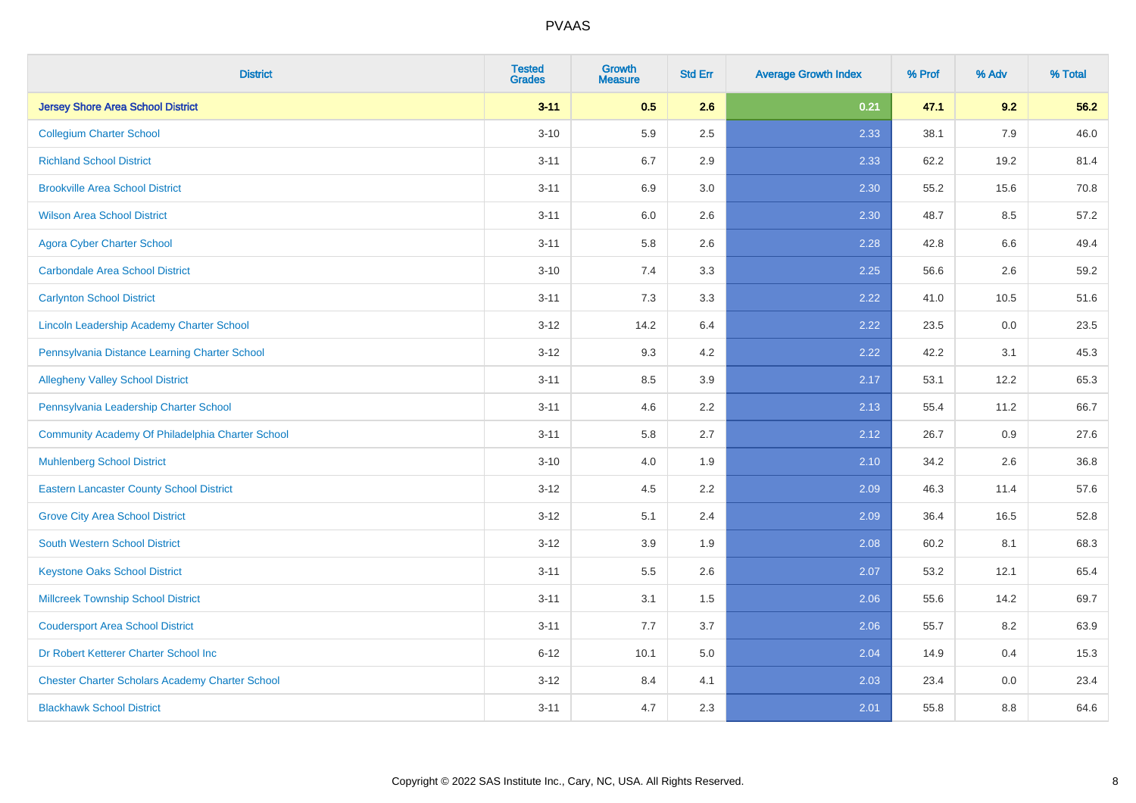| <b>District</b>                                        | <b>Tested</b><br><b>Grades</b> | <b>Growth</b><br><b>Measure</b> | <b>Std Err</b> | <b>Average Growth Index</b> | % Prof | % Adv | % Total |
|--------------------------------------------------------|--------------------------------|---------------------------------|----------------|-----------------------------|--------|-------|---------|
| <b>Jersey Shore Area School District</b>               | $3 - 11$                       | 0.5                             | 2.6            | 0.21                        | 47.1   | 9.2   | 56.2    |
| <b>Collegium Charter School</b>                        | $3 - 10$                       | 5.9                             | 2.5            | 2.33                        | 38.1   | 7.9   | 46.0    |
| <b>Richland School District</b>                        | $3 - 11$                       | 6.7                             | 2.9            | 2.33                        | 62.2   | 19.2  | 81.4    |
| <b>Brookville Area School District</b>                 | $3 - 11$                       | 6.9                             | 3.0            | 2.30                        | 55.2   | 15.6  | 70.8    |
| <b>Wilson Area School District</b>                     | $3 - 11$                       | 6.0                             | 2.6            | 2.30                        | 48.7   | 8.5   | 57.2    |
| <b>Agora Cyber Charter School</b>                      | $3 - 11$                       | 5.8                             | 2.6            | 2.28                        | 42.8   | 6.6   | 49.4    |
| <b>Carbondale Area School District</b>                 | $3 - 10$                       | 7.4                             | 3.3            | 2.25                        | 56.6   | 2.6   | 59.2    |
| <b>Carlynton School District</b>                       | $3 - 11$                       | 7.3                             | 3.3            | 2.22                        | 41.0   | 10.5  | 51.6    |
| Lincoln Leadership Academy Charter School              | $3 - 12$                       | 14.2                            | 6.4            | 2.22                        | 23.5   | 0.0   | 23.5    |
| Pennsylvania Distance Learning Charter School          | $3 - 12$                       | 9.3                             | 4.2            | 2.22                        | 42.2   | 3.1   | 45.3    |
| <b>Allegheny Valley School District</b>                | $3 - 11$                       | 8.5                             | 3.9            | 2.17                        | 53.1   | 12.2  | 65.3    |
| Pennsylvania Leadership Charter School                 | $3 - 11$                       | 4.6                             | 2.2            | 2.13                        | 55.4   | 11.2  | 66.7    |
| Community Academy Of Philadelphia Charter School       | $3 - 11$                       | 5.8                             | 2.7            | 2.12                        | 26.7   | 0.9   | 27.6    |
| <b>Muhlenberg School District</b>                      | $3 - 10$                       | 4.0                             | 1.9            | 2.10                        | 34.2   | 2.6   | 36.8    |
| <b>Eastern Lancaster County School District</b>        | $3 - 12$                       | 4.5                             | 2.2            | 2.09                        | 46.3   | 11.4  | 57.6    |
| <b>Grove City Area School District</b>                 | $3 - 12$                       | 5.1                             | 2.4            | 2.09                        | 36.4   | 16.5  | 52.8    |
| <b>South Western School District</b>                   | $3 - 12$                       | 3.9                             | 1.9            | 2.08                        | 60.2   | 8.1   | 68.3    |
| <b>Keystone Oaks School District</b>                   | $3 - 11$                       | 5.5                             | 2.6            | 2.07                        | 53.2   | 12.1  | 65.4    |
| <b>Millcreek Township School District</b>              | $3 - 11$                       | 3.1                             | 1.5            | 2.06                        | 55.6   | 14.2  | 69.7    |
| <b>Coudersport Area School District</b>                | $3 - 11$                       | 7.7                             | 3.7            | 2.06                        | 55.7   | 8.2   | 63.9    |
| Dr Robert Ketterer Charter School Inc                  | $6 - 12$                       | 10.1                            | 5.0            | 2.04                        | 14.9   | 0.4   | 15.3    |
| <b>Chester Charter Scholars Academy Charter School</b> | $3 - 12$                       | 8.4                             | 4.1            | 2.03                        | 23.4   | 0.0   | 23.4    |
| <b>Blackhawk School District</b>                       | $3 - 11$                       | 4.7                             | 2.3            | 2.01                        | 55.8   | 8.8   | 64.6    |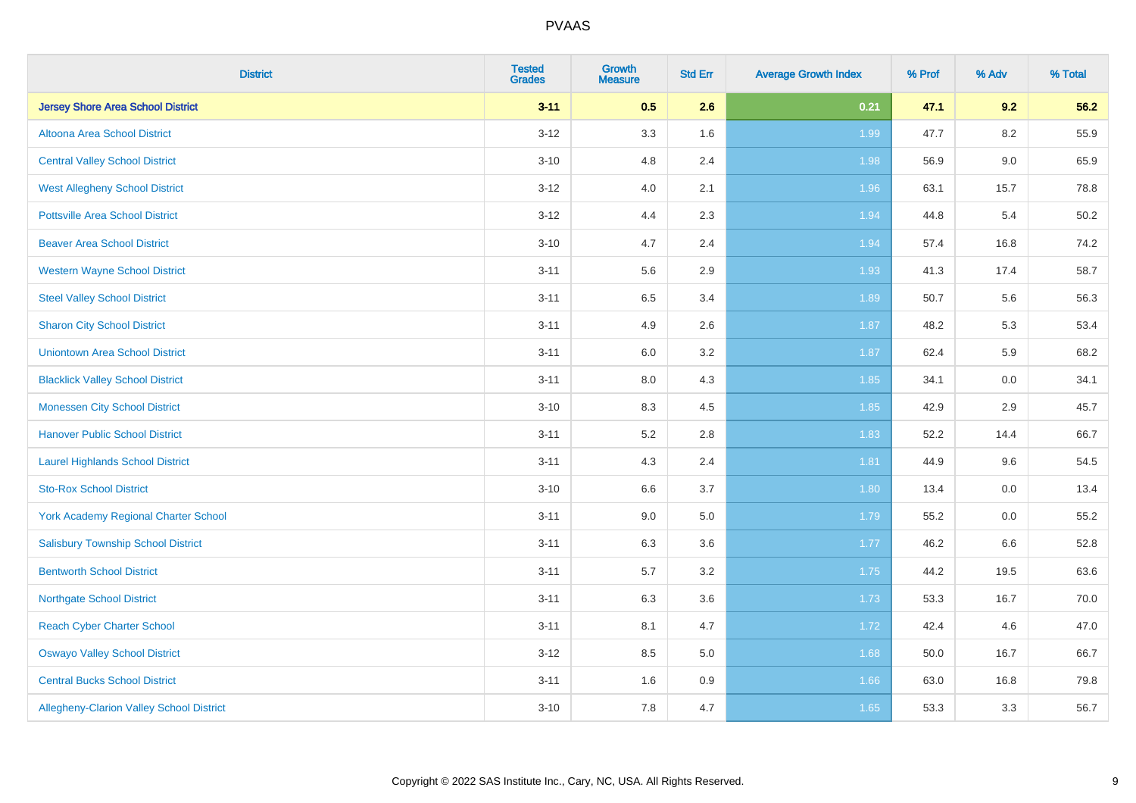| <b>District</b>                                 | <b>Tested</b><br><b>Grades</b> | <b>Growth</b><br><b>Measure</b> | <b>Std Err</b> | <b>Average Growth Index</b> | % Prof | % Adv   | % Total |
|-------------------------------------------------|--------------------------------|---------------------------------|----------------|-----------------------------|--------|---------|---------|
| <b>Jersey Shore Area School District</b>        | $3 - 11$                       | 0.5                             | 2.6            | 0.21                        | 47.1   | 9.2     | 56.2    |
| Altoona Area School District                    | $3 - 12$                       | 3.3                             | 1.6            | 1.99                        | 47.7   | $8.2\,$ | 55.9    |
| <b>Central Valley School District</b>           | $3 - 10$                       | 4.8                             | 2.4            | 1.98                        | 56.9   | $9.0\,$ | 65.9    |
| <b>West Allegheny School District</b>           | $3 - 12$                       | 4.0                             | 2.1            | 1.96                        | 63.1   | 15.7    | 78.8    |
| <b>Pottsville Area School District</b>          | $3 - 12$                       | 4.4                             | 2.3            | 1.94                        | 44.8   | 5.4     | 50.2    |
| <b>Beaver Area School District</b>              | $3 - 10$                       | 4.7                             | 2.4            | 1.94                        | 57.4   | 16.8    | 74.2    |
| <b>Western Wayne School District</b>            | $3 - 11$                       | 5.6                             | 2.9            | 1.93                        | 41.3   | 17.4    | 58.7    |
| <b>Steel Valley School District</b>             | $3 - 11$                       | 6.5                             | 3.4            | 1.89                        | 50.7   | 5.6     | 56.3    |
| <b>Sharon City School District</b>              | $3 - 11$                       | 4.9                             | 2.6            | 1.87                        | 48.2   | 5.3     | 53.4    |
| <b>Uniontown Area School District</b>           | $3 - 11$                       | 6.0                             | 3.2            | 1.87                        | 62.4   | 5.9     | 68.2    |
| <b>Blacklick Valley School District</b>         | $3 - 11$                       | 8.0                             | 4.3            | 1.85                        | 34.1   | 0.0     | 34.1    |
| <b>Monessen City School District</b>            | $3 - 10$                       | 8.3                             | 4.5            | 1.85                        | 42.9   | 2.9     | 45.7    |
| <b>Hanover Public School District</b>           | $3 - 11$                       | 5.2                             | 2.8            | 1.83                        | 52.2   | 14.4    | 66.7    |
| <b>Laurel Highlands School District</b>         | $3 - 11$                       | 4.3                             | 2.4            | 1.81                        | 44.9   | 9.6     | 54.5    |
| <b>Sto-Rox School District</b>                  | $3 - 10$                       | 6.6                             | 3.7            | 1.80                        | 13.4   | 0.0     | 13.4    |
| <b>York Academy Regional Charter School</b>     | $3 - 11$                       | 9.0                             | 5.0            | 1.79                        | 55.2   | $0.0\,$ | 55.2    |
| <b>Salisbury Township School District</b>       | $3 - 11$                       | 6.3                             | 3.6            | 1.77                        | 46.2   | 6.6     | 52.8    |
| <b>Bentworth School District</b>                | $3 - 11$                       | 5.7                             | 3.2            | 1.75                        | 44.2   | 19.5    | 63.6    |
| <b>Northgate School District</b>                | $3 - 11$                       | 6.3                             | 3.6            | 1.73                        | 53.3   | 16.7    | 70.0    |
| <b>Reach Cyber Charter School</b>               | $3 - 11$                       | 8.1                             | 4.7            | 1.72                        | 42.4   | 4.6     | 47.0    |
| <b>Oswayo Valley School District</b>            | $3 - 12$                       | 8.5                             | 5.0            | 1.68                        | 50.0   | 16.7    | 66.7    |
| <b>Central Bucks School District</b>            | $3 - 11$                       | 1.6                             | 0.9            | 1.66                        | 63.0   | 16.8    | 79.8    |
| <b>Allegheny-Clarion Valley School District</b> | $3 - 10$                       | 7.8                             | 4.7            | 1.65                        | 53.3   | 3.3     | 56.7    |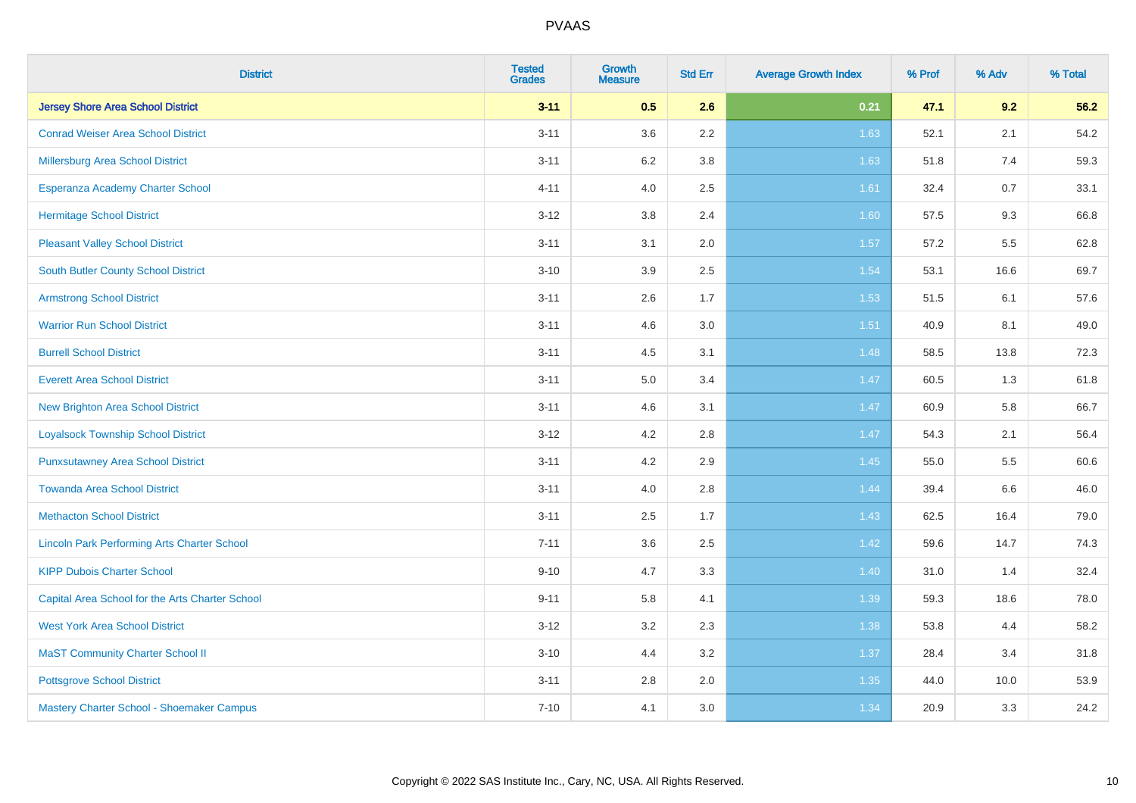| <b>District</b>                                    | <b>Tested</b><br><b>Grades</b> | <b>Growth</b><br><b>Measure</b> | <b>Std Err</b> | <b>Average Growth Index</b> | % Prof | % Adv | % Total |
|----------------------------------------------------|--------------------------------|---------------------------------|----------------|-----------------------------|--------|-------|---------|
| <b>Jersey Shore Area School District</b>           | $3 - 11$                       | 0.5                             | 2.6            | 0.21                        | 47.1   | 9.2   | 56.2    |
| <b>Conrad Weiser Area School District</b>          | $3 - 11$                       | 3.6                             | 2.2            | 1.63                        | 52.1   | 2.1   | 54.2    |
| Millersburg Area School District                   | $3 - 11$                       | $6.2\,$                         | 3.8            | 1.63                        | 51.8   | 7.4   | 59.3    |
| Esperanza Academy Charter School                   | $4 - 11$                       | 4.0                             | 2.5            | 1.61                        | 32.4   | 0.7   | 33.1    |
| <b>Hermitage School District</b>                   | $3 - 12$                       | 3.8                             | 2.4            | 1.60                        | 57.5   | 9.3   | 66.8    |
| <b>Pleasant Valley School District</b>             | $3 - 11$                       | 3.1                             | 2.0            | 1.57                        | 57.2   | 5.5   | 62.8    |
| <b>South Butler County School District</b>         | $3 - 10$                       | 3.9                             | 2.5            | 1.54                        | 53.1   | 16.6  | 69.7    |
| <b>Armstrong School District</b>                   | $3 - 11$                       | 2.6                             | 1.7            | 1.53                        | 51.5   | 6.1   | 57.6    |
| <b>Warrior Run School District</b>                 | $3 - 11$                       | 4.6                             | 3.0            | 1.51                        | 40.9   | 8.1   | 49.0    |
| <b>Burrell School District</b>                     | $3 - 11$                       | 4.5                             | 3.1            | 1.48                        | 58.5   | 13.8  | 72.3    |
| <b>Everett Area School District</b>                | $3 - 11$                       | 5.0                             | 3.4            | 1.47                        | 60.5   | 1.3   | 61.8    |
| <b>New Brighton Area School District</b>           | $3 - 11$                       | 4.6                             | 3.1            | 1.47                        | 60.9   | 5.8   | 66.7    |
| <b>Loyalsock Township School District</b>          | $3 - 12$                       | 4.2                             | 2.8            | 1.47                        | 54.3   | 2.1   | 56.4    |
| <b>Punxsutawney Area School District</b>           | $3 - 11$                       | 4.2                             | 2.9            | 1.45                        | 55.0   | 5.5   | 60.6    |
| <b>Towanda Area School District</b>                | $3 - 11$                       | 4.0                             | 2.8            | 1.44                        | 39.4   | 6.6   | 46.0    |
| <b>Methacton School District</b>                   | $3 - 11$                       | 2.5                             | 1.7            | 1.43                        | 62.5   | 16.4  | 79.0    |
| <b>Lincoln Park Performing Arts Charter School</b> | $7 - 11$                       | 3.6                             | 2.5            | 1.42                        | 59.6   | 14.7  | 74.3    |
| <b>KIPP Dubois Charter School</b>                  | $9 - 10$                       | 4.7                             | 3.3            | 1.40                        | 31.0   | 1.4   | 32.4    |
| Capital Area School for the Arts Charter School    | $9 - 11$                       | 5.8                             | 4.1            | 1.39                        | 59.3   | 18.6  | 78.0    |
| <b>West York Area School District</b>              | $3 - 12$                       | 3.2                             | 2.3            | 1.38                        | 53.8   | 4.4   | 58.2    |
| <b>MaST Community Charter School II</b>            | $3 - 10$                       | 4.4                             | 3.2            | 1.37                        | 28.4   | 3.4   | 31.8    |
| <b>Pottsgrove School District</b>                  | $3 - 11$                       | 2.8                             | 2.0            | 1.35                        | 44.0   | 10.0  | 53.9    |
| Mastery Charter School - Shoemaker Campus          | $7 - 10$                       | 4.1                             | 3.0            | 1.34                        | 20.9   | 3.3   | 24.2    |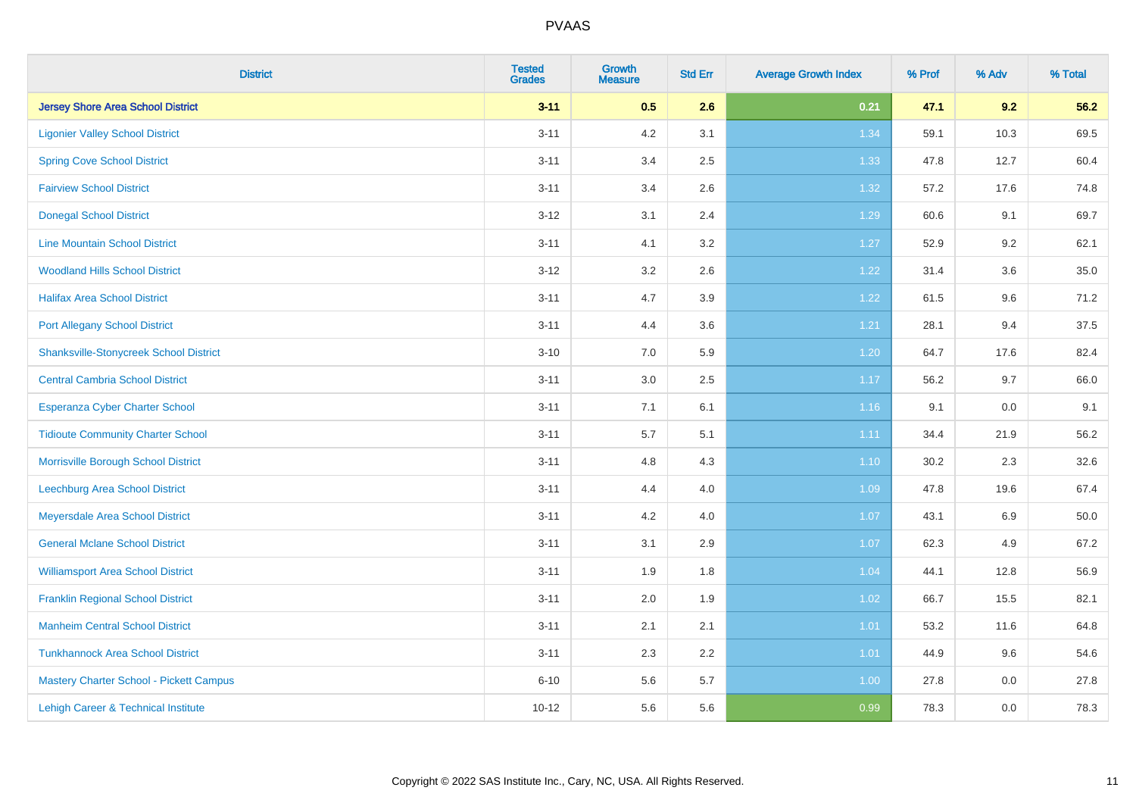| <b>District</b>                               | <b>Tested</b><br><b>Grades</b> | <b>Growth</b><br><b>Measure</b> | <b>Std Err</b> | <b>Average Growth Index</b> | % Prof | % Adv | % Total |
|-----------------------------------------------|--------------------------------|---------------------------------|----------------|-----------------------------|--------|-------|---------|
| <b>Jersey Shore Area School District</b>      | $3 - 11$                       | 0.5                             | 2.6            | 0.21                        | 47.1   | 9.2   | 56.2    |
| <b>Ligonier Valley School District</b>        | $3 - 11$                       | $4.2\,$                         | 3.1            | 1.34                        | 59.1   | 10.3  | 69.5    |
| <b>Spring Cove School District</b>            | $3 - 11$                       | 3.4                             | 2.5            | 1.33                        | 47.8   | 12.7  | 60.4    |
| <b>Fairview School District</b>               | $3 - 11$                       | 3.4                             | 2.6            | 1.32                        | 57.2   | 17.6  | 74.8    |
| <b>Donegal School District</b>                | $3 - 12$                       | 3.1                             | 2.4            | 1.29                        | 60.6   | 9.1   | 69.7    |
| <b>Line Mountain School District</b>          | $3 - 11$                       | 4.1                             | 3.2            | 1.27                        | 52.9   | 9.2   | 62.1    |
| <b>Woodland Hills School District</b>         | $3 - 12$                       | 3.2                             | 2.6            | 1.22                        | 31.4   | 3.6   | 35.0    |
| <b>Halifax Area School District</b>           | $3 - 11$                       | 4.7                             | 3.9            | 1.22                        | 61.5   | 9.6   | 71.2    |
| <b>Port Allegany School District</b>          | $3 - 11$                       | 4.4                             | 3.6            | 1.21                        | 28.1   | 9.4   | 37.5    |
| <b>Shanksville-Stonycreek School District</b> | $3 - 10$                       | 7.0                             | 5.9            | 1.20                        | 64.7   | 17.6  | 82.4    |
| <b>Central Cambria School District</b>        | $3 - 11$                       | 3.0                             | 2.5            | 1.17                        | 56.2   | 9.7   | 66.0    |
| Esperanza Cyber Charter School                | $3 - 11$                       | 7.1                             | 6.1            | 1.16                        | 9.1    | 0.0   | 9.1     |
| <b>Tidioute Community Charter School</b>      | $3 - 11$                       | 5.7                             | 5.1            | 1.11                        | 34.4   | 21.9  | 56.2    |
| Morrisville Borough School District           | $3 - 11$                       | 4.8                             | 4.3            | 1.10                        | 30.2   | 2.3   | 32.6    |
| <b>Leechburg Area School District</b>         | $3 - 11$                       | 4.4                             | 4.0            | 1.09                        | 47.8   | 19.6  | 67.4    |
| Meyersdale Area School District               | $3 - 11$                       | 4.2                             | 4.0            | 1.07                        | 43.1   | 6.9   | 50.0    |
| <b>General Mclane School District</b>         | $3 - 11$                       | 3.1                             | 2.9            | 1.07                        | 62.3   | 4.9   | 67.2    |
| <b>Williamsport Area School District</b>      | $3 - 11$                       | 1.9                             | 1.8            | 1.04                        | 44.1   | 12.8  | 56.9    |
| <b>Franklin Regional School District</b>      | $3 - 11$                       | 2.0                             | 1.9            | 1.02                        | 66.7   | 15.5  | 82.1    |
| <b>Manheim Central School District</b>        | $3 - 11$                       | 2.1                             | 2.1            | $1.01$                      | 53.2   | 11.6  | 64.8    |
| <b>Tunkhannock Area School District</b>       | $3 - 11$                       | 2.3                             | 2.2            | 1.01                        | 44.9   | 9.6   | 54.6    |
| Mastery Charter School - Pickett Campus       | $6 - 10$                       | 5.6                             | 5.7            | 1.00                        | 27.8   | 0.0   | 27.8    |
| Lehigh Career & Technical Institute           | $10 - 12$                      | 5.6                             | 5.6            | 0.99                        | 78.3   | 0.0   | 78.3    |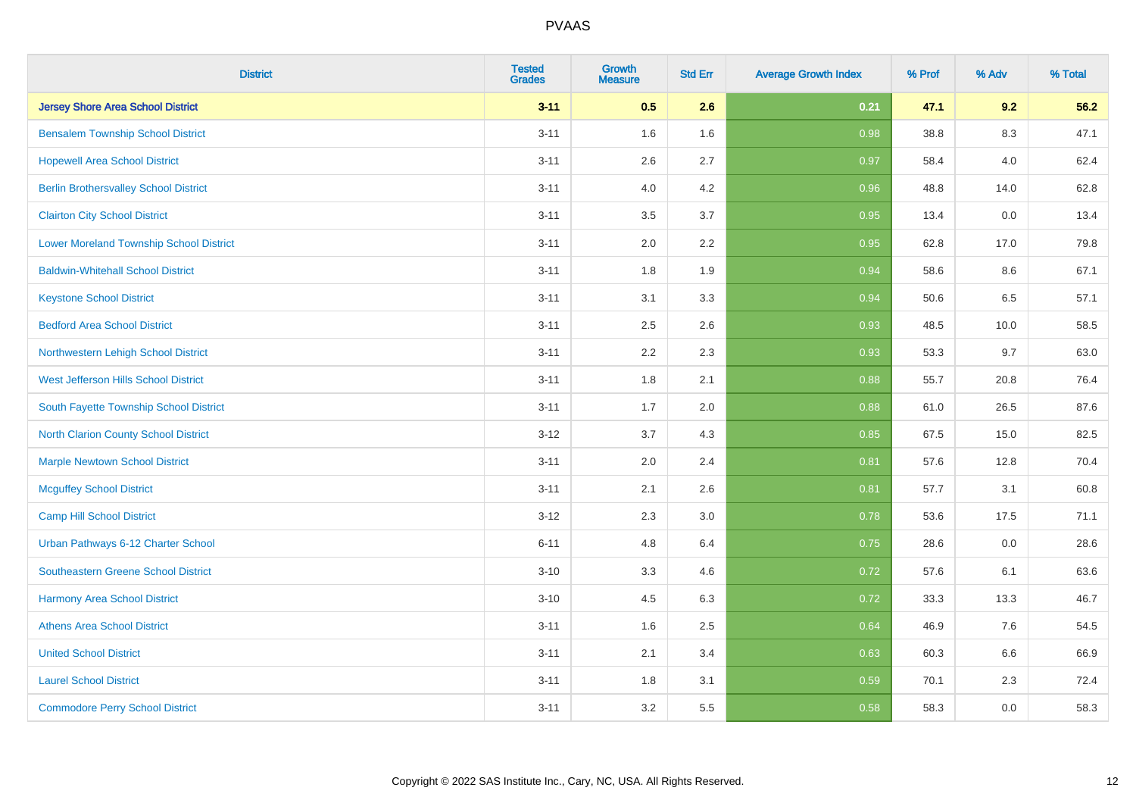| <b>District</b>                                | <b>Tested</b><br><b>Grades</b> | <b>Growth</b><br><b>Measure</b> | <b>Std Err</b> | <b>Average Growth Index</b> | % Prof | % Adv | % Total |
|------------------------------------------------|--------------------------------|---------------------------------|----------------|-----------------------------|--------|-------|---------|
| <b>Jersey Shore Area School District</b>       | $3 - 11$                       | 0.5                             | 2.6            | 0.21                        | 47.1   | 9.2   | 56.2    |
| <b>Bensalem Township School District</b>       | $3 - 11$                       | 1.6                             | 1.6            | 0.98                        | 38.8   | 8.3   | 47.1    |
| <b>Hopewell Area School District</b>           | $3 - 11$                       | 2.6                             | 2.7            | 0.97                        | 58.4   | 4.0   | 62.4    |
| <b>Berlin Brothersvalley School District</b>   | $3 - 11$                       | 4.0                             | 4.2            | 0.96                        | 48.8   | 14.0  | 62.8    |
| <b>Clairton City School District</b>           | $3 - 11$                       | 3.5                             | 3.7            | 0.95                        | 13.4   | 0.0   | 13.4    |
| <b>Lower Moreland Township School District</b> | $3 - 11$                       | 2.0                             | 2.2            | 0.95                        | 62.8   | 17.0  | 79.8    |
| <b>Baldwin-Whitehall School District</b>       | $3 - 11$                       | 1.8                             | 1.9            | 0.94                        | 58.6   | 8.6   | 67.1    |
| <b>Keystone School District</b>                | $3 - 11$                       | 3.1                             | 3.3            | 0.94                        | 50.6   | 6.5   | 57.1    |
| <b>Bedford Area School District</b>            | $3 - 11$                       | 2.5                             | 2.6            | 0.93                        | 48.5   | 10.0  | 58.5    |
| Northwestern Lehigh School District            | $3 - 11$                       | 2.2                             | 2.3            | 0.93                        | 53.3   | 9.7   | 63.0    |
| West Jefferson Hills School District           | $3 - 11$                       | 1.8                             | 2.1            | 0.88                        | 55.7   | 20.8  | 76.4    |
| South Fayette Township School District         | $3 - 11$                       | 1.7                             | 2.0            | 0.88                        | 61.0   | 26.5  | 87.6    |
| North Clarion County School District           | $3-12$                         | 3.7                             | 4.3            | 0.85                        | 67.5   | 15.0  | 82.5    |
| <b>Marple Newtown School District</b>          | $3 - 11$                       | 2.0                             | 2.4            | 0.81                        | 57.6   | 12.8  | 70.4    |
| <b>Mcguffey School District</b>                | $3 - 11$                       | 2.1                             | 2.6            | 0.81                        | 57.7   | 3.1   | 60.8    |
| <b>Camp Hill School District</b>               | $3-12$                         | 2.3                             | 3.0            | 0.78                        | 53.6   | 17.5  | 71.1    |
| Urban Pathways 6-12 Charter School             | $6 - 11$                       | 4.8                             | 6.4            | 0.75                        | 28.6   | 0.0   | 28.6    |
| <b>Southeastern Greene School District</b>     | $3 - 10$                       | 3.3                             | 4.6            | 0.72                        | 57.6   | 6.1   | 63.6    |
| <b>Harmony Area School District</b>            | $3 - 10$                       | 4.5                             | 6.3            | 0.72                        | 33.3   | 13.3  | 46.7    |
| <b>Athens Area School District</b>             | $3 - 11$                       | 1.6                             | 2.5            | 0.64                        | 46.9   | 7.6   | 54.5    |
| <b>United School District</b>                  | $3 - 11$                       | 2.1                             | 3.4            | 0.63                        | 60.3   | 6.6   | 66.9    |
| <b>Laurel School District</b>                  | $3 - 11$                       | 1.8                             | 3.1            | 0.59                        | 70.1   | 2.3   | 72.4    |
| <b>Commodore Perry School District</b>         | $3 - 11$                       | 3.2                             | 5.5            | 0.58                        | 58.3   | 0.0   | 58.3    |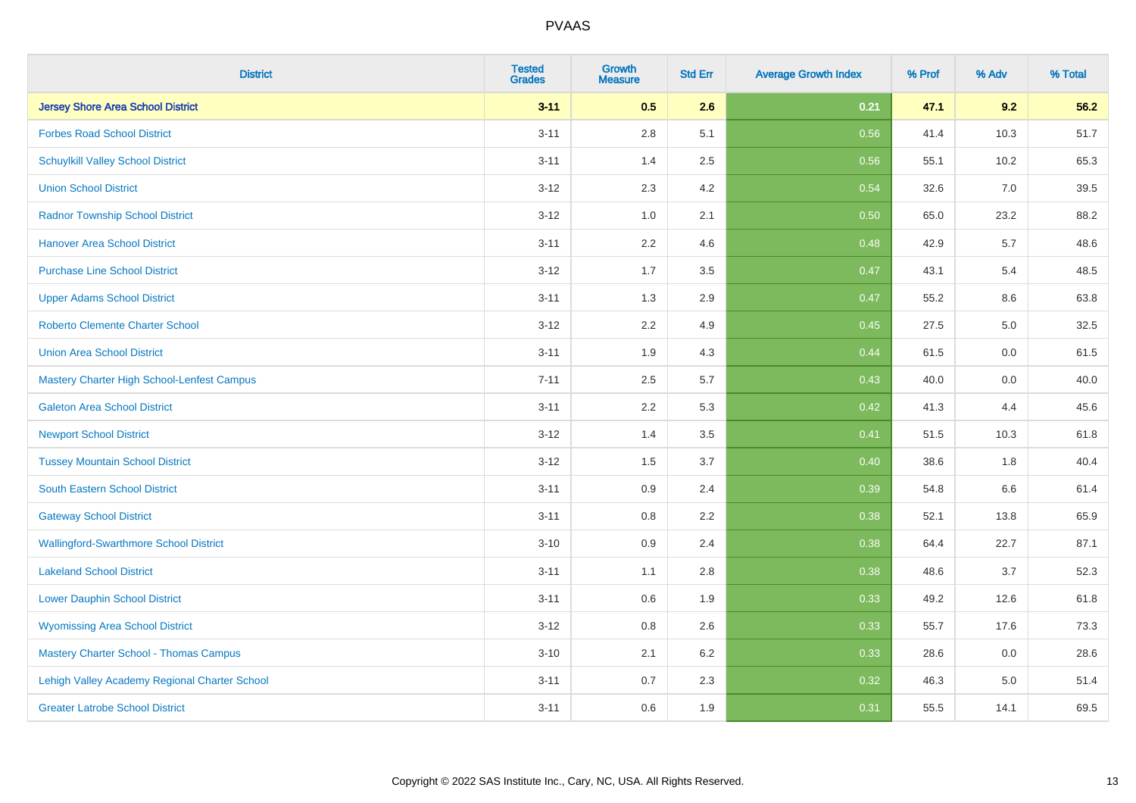| <b>District</b>                               | <b>Tested</b><br><b>Grades</b> | <b>Growth</b><br><b>Measure</b> | <b>Std Err</b> | <b>Average Growth Index</b> | % Prof | % Adv | % Total |
|-----------------------------------------------|--------------------------------|---------------------------------|----------------|-----------------------------|--------|-------|---------|
| <b>Jersey Shore Area School District</b>      | $3 - 11$                       | 0.5                             | 2.6            | 0.21                        | 47.1   | 9.2   | 56.2    |
| <b>Forbes Road School District</b>            | $3 - 11$                       | $2.8\,$                         | 5.1            | 0.56                        | 41.4   | 10.3  | 51.7    |
| <b>Schuylkill Valley School District</b>      | $3 - 11$                       | 1.4                             | 2.5            | 0.56                        | 55.1   | 10.2  | 65.3    |
| <b>Union School District</b>                  | $3 - 12$                       | 2.3                             | 4.2            | 0.54                        | 32.6   | 7.0   | 39.5    |
| <b>Radnor Township School District</b>        | $3 - 12$                       | 1.0                             | 2.1            | 0.50                        | 65.0   | 23.2  | 88.2    |
| <b>Hanover Area School District</b>           | $3 - 11$                       | 2.2                             | 4.6            | 0.48                        | 42.9   | 5.7   | 48.6    |
| <b>Purchase Line School District</b>          | $3 - 12$                       | 1.7                             | 3.5            | 0.47                        | 43.1   | 5.4   | 48.5    |
| <b>Upper Adams School District</b>            | $3 - 11$                       | 1.3                             | 2.9            | 0.47                        | 55.2   | 8.6   | 63.8    |
| Roberto Clemente Charter School               | $3 - 12$                       | 2.2                             | 4.9            | 0.45                        | 27.5   | 5.0   | 32.5    |
| <b>Union Area School District</b>             | $3 - 11$                       | 1.9                             | 4.3            | 0.44                        | 61.5   | 0.0   | 61.5    |
| Mastery Charter High School-Lenfest Campus    | $7 - 11$                       | 2.5                             | 5.7            | 0.43                        | 40.0   | 0.0   | 40.0    |
| <b>Galeton Area School District</b>           | $3 - 11$                       | 2.2                             | 5.3            | 0.42                        | 41.3   | 4.4   | 45.6    |
| <b>Newport School District</b>                | $3 - 12$                       | 1.4                             | 3.5            | 0.41                        | 51.5   | 10.3  | 61.8    |
| <b>Tussey Mountain School District</b>        | $3 - 12$                       | 1.5                             | 3.7            | 0.40                        | 38.6   | 1.8   | 40.4    |
| South Eastern School District                 | $3 - 11$                       | 0.9                             | 2.4            | 0.39                        | 54.8   | 6.6   | 61.4    |
| <b>Gateway School District</b>                | $3 - 11$                       | 0.8                             | 2.2            | 0.38                        | 52.1   | 13.8  | 65.9    |
| <b>Wallingford-Swarthmore School District</b> | $3 - 10$                       | 0.9                             | 2.4            | 0.38                        | 64.4   | 22.7  | 87.1    |
| <b>Lakeland School District</b>               | $3 - 11$                       | 1.1                             | 2.8            | 0.38                        | 48.6   | 3.7   | 52.3    |
| <b>Lower Dauphin School District</b>          | $3 - 11$                       | 0.6                             | 1.9            | 0.33                        | 49.2   | 12.6  | 61.8    |
| <b>Wyomissing Area School District</b>        | $3 - 12$                       | $0.8\,$                         | 2.6            | 0.33                        | 55.7   | 17.6  | 73.3    |
| <b>Mastery Charter School - Thomas Campus</b> | $3 - 10$                       | 2.1                             | 6.2            | 0.33                        | 28.6   | 0.0   | 28.6    |
| Lehigh Valley Academy Regional Charter School | $3 - 11$                       | 0.7                             | 2.3            | 0.32                        | 46.3   | 5.0   | 51.4    |
| <b>Greater Latrobe School District</b>        | $3 - 11$                       | 0.6                             | 1.9            | 0.31                        | 55.5   | 14.1  | 69.5    |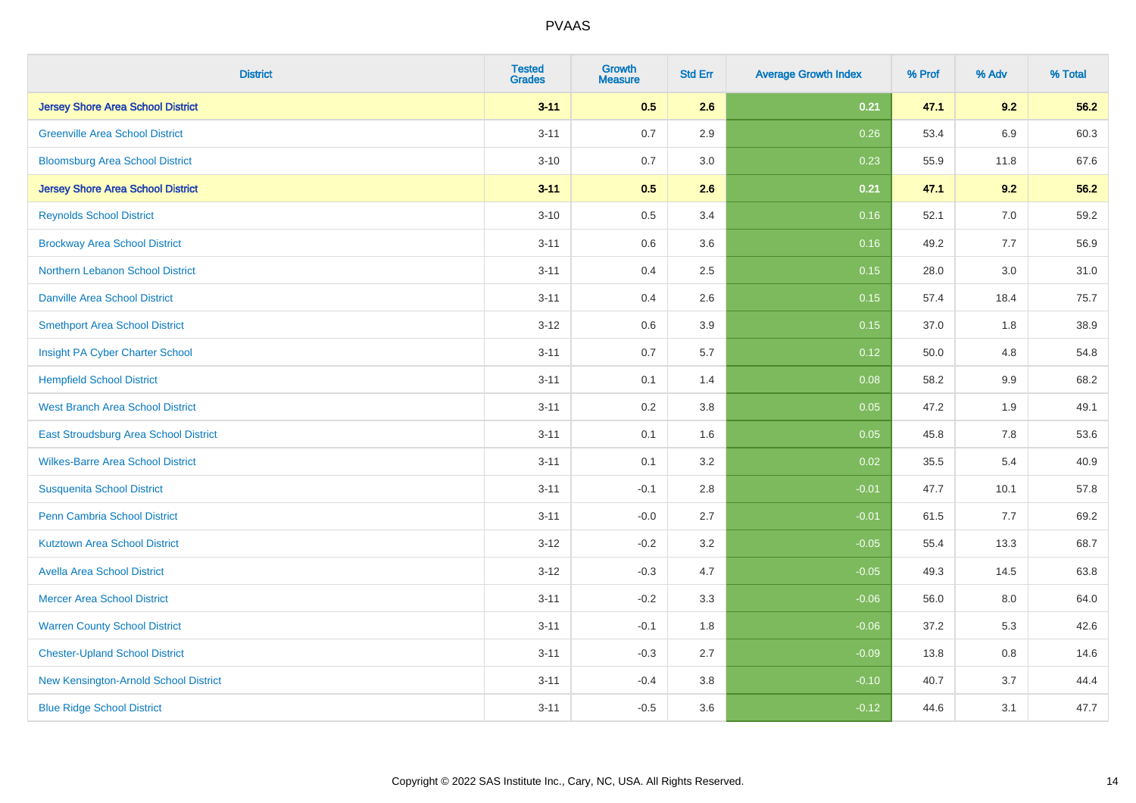| <b>District</b>                          | <b>Tested</b><br><b>Grades</b> | <b>Growth</b><br><b>Measure</b> | <b>Std Err</b> | <b>Average Growth Index</b> | % Prof | % Adv   | % Total |
|------------------------------------------|--------------------------------|---------------------------------|----------------|-----------------------------|--------|---------|---------|
| <b>Jersey Shore Area School District</b> | $3 - 11$                       | 0.5                             | 2.6            | 0.21                        | 47.1   | 9.2     | 56.2    |
| <b>Greenville Area School District</b>   | $3 - 11$                       | 0.7                             | 2.9            | 0.26                        | 53.4   | 6.9     | 60.3    |
| <b>Bloomsburg Area School District</b>   | $3 - 10$                       | 0.7                             | 3.0            | 0.23                        | 55.9   | 11.8    | 67.6    |
| <b>Jersey Shore Area School District</b> | $3 - 11$                       | 0.5                             | 2.6            | 0.21                        | 47.1   | 9.2     | 56.2    |
| <b>Reynolds School District</b>          | $3 - 10$                       | 0.5                             | 3.4            | 0.16                        | 52.1   | 7.0     | 59.2    |
| <b>Brockway Area School District</b>     | $3 - 11$                       | 0.6                             | 3.6            | 0.16                        | 49.2   | 7.7     | 56.9    |
| Northern Lebanon School District         | $3 - 11$                       | 0.4                             | 2.5            | 0.15                        | 28.0   | 3.0     | 31.0    |
| <b>Danville Area School District</b>     | $3 - 11$                       | 0.4                             | 2.6            | 0.15                        | 57.4   | 18.4    | 75.7    |
| <b>Smethport Area School District</b>    | $3 - 12$                       | 0.6                             | 3.9            | 0.15                        | 37.0   | 1.8     | 38.9    |
| Insight PA Cyber Charter School          | $3 - 11$                       | 0.7                             | 5.7            | 0.12                        | 50.0   | 4.8     | 54.8    |
| <b>Hempfield School District</b>         | $3 - 11$                       | 0.1                             | 1.4            | 0.08                        | 58.2   | 9.9     | 68.2    |
| <b>West Branch Area School District</b>  | $3 - 11$                       | 0.2                             | 3.8            | 0.05                        | 47.2   | 1.9     | 49.1    |
| East Stroudsburg Area School District    | $3 - 11$                       | 0.1                             | 1.6            | 0.05                        | 45.8   | $7.8\,$ | 53.6    |
| <b>Wilkes-Barre Area School District</b> | $3 - 11$                       | 0.1                             | 3.2            | 0.02                        | 35.5   | 5.4     | 40.9    |
| <b>Susquenita School District</b>        | $3 - 11$                       | $-0.1$                          | 2.8            | $-0.01$                     | 47.7   | 10.1    | 57.8    |
| <b>Penn Cambria School District</b>      | $3 - 11$                       | $-0.0$                          | 2.7            | $-0.01$                     | 61.5   | 7.7     | 69.2    |
| <b>Kutztown Area School District</b>     | $3 - 12$                       | $-0.2$                          | 3.2            | $-0.05$                     | 55.4   | 13.3    | 68.7    |
| <b>Avella Area School District</b>       | $3 - 12$                       | $-0.3$                          | 4.7            | $-0.05$                     | 49.3   | 14.5    | 63.8    |
| <b>Mercer Area School District</b>       | $3 - 11$                       | $-0.2$                          | 3.3            | $-0.06$                     | 56.0   | 8.0     | 64.0    |
| <b>Warren County School District</b>     | $3 - 11$                       | $-0.1$                          | 1.8            | $-0.06$                     | 37.2   | 5.3     | 42.6    |
| <b>Chester-Upland School District</b>    | $3 - 11$                       | $-0.3$                          | 2.7            | $-0.09$                     | 13.8   | 0.8     | 14.6    |
| New Kensington-Arnold School District    | $3 - 11$                       | $-0.4$                          | 3.8            | $-0.10$                     | 40.7   | 3.7     | 44.4    |
| <b>Blue Ridge School District</b>        | $3 - 11$                       | $-0.5$                          | 3.6            | $-0.12$                     | 44.6   | 3.1     | 47.7    |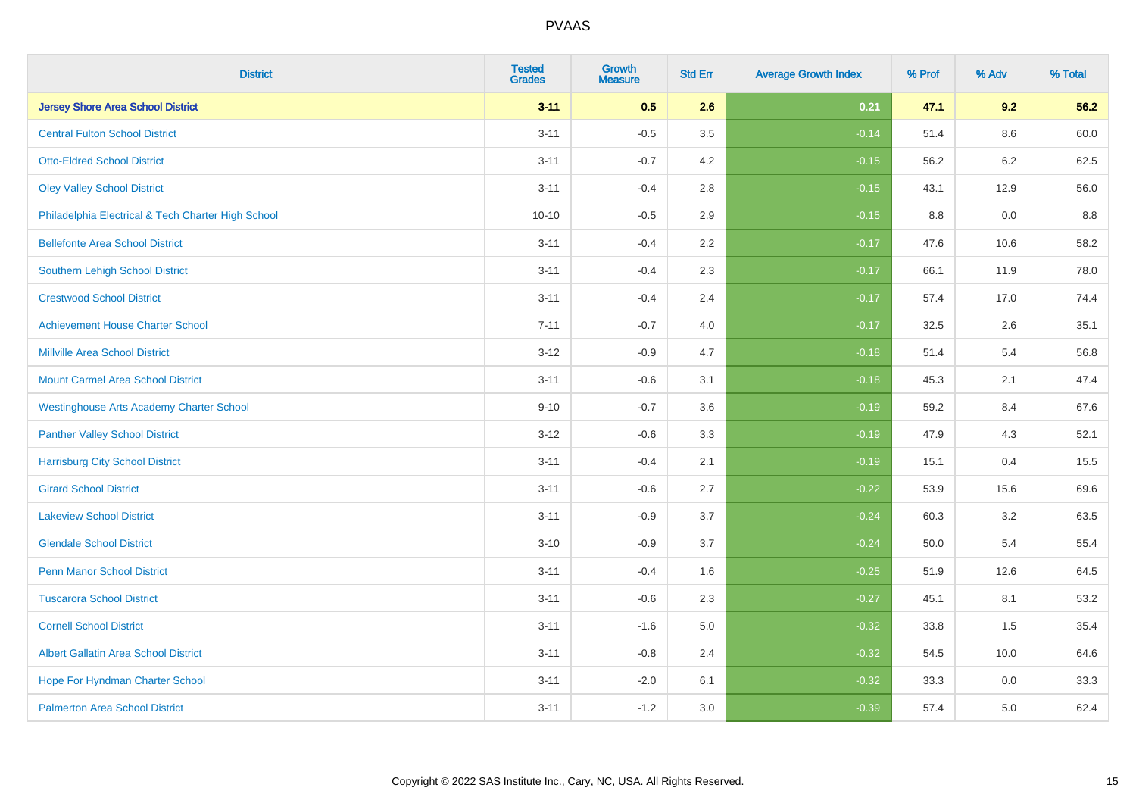| <b>District</b>                                    | <b>Tested</b><br><b>Grades</b> | <b>Growth</b><br><b>Measure</b> | <b>Std Err</b> | <b>Average Growth Index</b> | % Prof | % Adv | % Total |
|----------------------------------------------------|--------------------------------|---------------------------------|----------------|-----------------------------|--------|-------|---------|
| <b>Jersey Shore Area School District</b>           | $3 - 11$                       | 0.5                             | 2.6            | 0.21                        | 47.1   | 9.2   | 56.2    |
| <b>Central Fulton School District</b>              | $3 - 11$                       | $-0.5$                          | 3.5            | $-0.14$                     | 51.4   | 8.6   | 60.0    |
| <b>Otto-Eldred School District</b>                 | $3 - 11$                       | $-0.7$                          | 4.2            | $-0.15$                     | 56.2   | 6.2   | 62.5    |
| <b>Oley Valley School District</b>                 | $3 - 11$                       | $-0.4$                          | 2.8            | $-0.15$                     | 43.1   | 12.9  | 56.0    |
| Philadelphia Electrical & Tech Charter High School | $10 - 10$                      | $-0.5$                          | 2.9            | $-0.15$                     | 8.8    | 0.0   | 8.8     |
| <b>Bellefonte Area School District</b>             | $3 - 11$                       | $-0.4$                          | 2.2            | $-0.17$                     | 47.6   | 10.6  | 58.2    |
| Southern Lehigh School District                    | $3 - 11$                       | $-0.4$                          | 2.3            | $-0.17$                     | 66.1   | 11.9  | 78.0    |
| <b>Crestwood School District</b>                   | $3 - 11$                       | $-0.4$                          | 2.4            | $-0.17$                     | 57.4   | 17.0  | 74.4    |
| <b>Achievement House Charter School</b>            | $7 - 11$                       | $-0.7$                          | 4.0            | $-0.17$                     | 32.5   | 2.6   | 35.1    |
| <b>Millville Area School District</b>              | $3 - 12$                       | $-0.9$                          | 4.7            | $-0.18$                     | 51.4   | 5.4   | 56.8    |
| <b>Mount Carmel Area School District</b>           | $3 - 11$                       | $-0.6$                          | 3.1            | $-0.18$                     | 45.3   | 2.1   | 47.4    |
| <b>Westinghouse Arts Academy Charter School</b>    | $9 - 10$                       | $-0.7$                          | 3.6            | $-0.19$                     | 59.2   | 8.4   | 67.6    |
| <b>Panther Valley School District</b>              | $3 - 12$                       | $-0.6$                          | 3.3            | $-0.19$                     | 47.9   | 4.3   | 52.1    |
| <b>Harrisburg City School District</b>             | $3 - 11$                       | $-0.4$                          | 2.1            | $-0.19$                     | 15.1   | 0.4   | 15.5    |
| <b>Girard School District</b>                      | $3 - 11$                       | $-0.6$                          | 2.7            | $-0.22$                     | 53.9   | 15.6  | 69.6    |
| <b>Lakeview School District</b>                    | $3 - 11$                       | $-0.9$                          | 3.7            | $-0.24$                     | 60.3   | 3.2   | 63.5    |
| <b>Glendale School District</b>                    | $3 - 10$                       | $-0.9$                          | 3.7            | $-0.24$                     | 50.0   | 5.4   | 55.4    |
| <b>Penn Manor School District</b>                  | $3 - 11$                       | $-0.4$                          | 1.6            | $-0.25$                     | 51.9   | 12.6  | 64.5    |
| <b>Tuscarora School District</b>                   | $3 - 11$                       | $-0.6$                          | 2.3            | $-0.27$                     | 45.1   | 8.1   | 53.2    |
| <b>Cornell School District</b>                     | $3 - 11$                       | $-1.6$                          | 5.0            | $-0.32$                     | 33.8   | 1.5   | 35.4    |
| <b>Albert Gallatin Area School District</b>        | $3 - 11$                       | $-0.8$                          | 2.4            | $-0.32$                     | 54.5   | 10.0  | 64.6    |
| Hope For Hyndman Charter School                    | $3 - 11$                       | $-2.0$                          | 6.1            | $-0.32$                     | 33.3   | 0.0   | 33.3    |
| <b>Palmerton Area School District</b>              | $3 - 11$                       | $-1.2$                          | 3.0            | $-0.39$                     | 57.4   | 5.0   | 62.4    |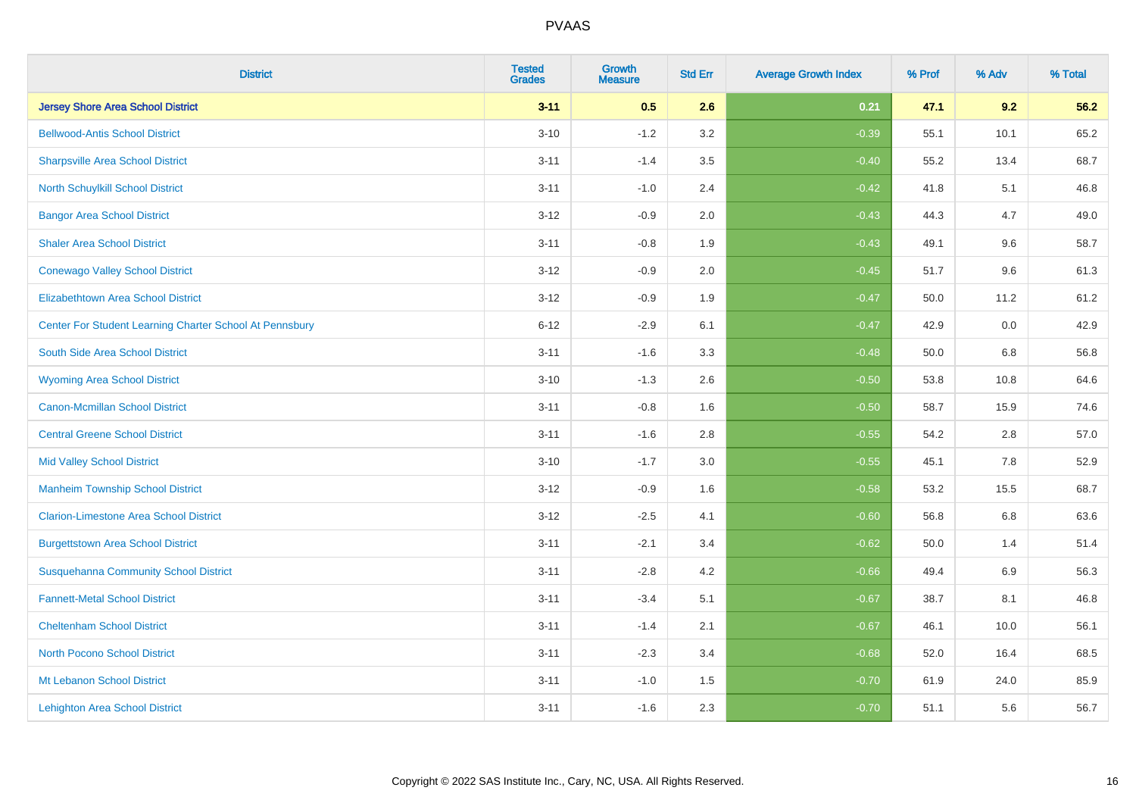| <b>District</b>                                         | <b>Tested</b><br><b>Grades</b> | <b>Growth</b><br><b>Measure</b> | <b>Std Err</b> | <b>Average Growth Index</b> | % Prof | % Adv   | % Total |
|---------------------------------------------------------|--------------------------------|---------------------------------|----------------|-----------------------------|--------|---------|---------|
| <b>Jersey Shore Area School District</b>                | $3 - 11$                       | 0.5                             | 2.6            | 0.21                        | 47.1   | 9.2     | 56.2    |
| <b>Bellwood-Antis School District</b>                   | $3 - 10$                       | $-1.2$                          | 3.2            | $-0.39$                     | 55.1   | 10.1    | 65.2    |
| <b>Sharpsville Area School District</b>                 | $3 - 11$                       | $-1.4$                          | 3.5            | $-0.40$                     | 55.2   | 13.4    | 68.7    |
| North Schuylkill School District                        | $3 - 11$                       | $-1.0$                          | 2.4            | $-0.42$                     | 41.8   | 5.1     | 46.8    |
| <b>Bangor Area School District</b>                      | $3 - 12$                       | $-0.9$                          | 2.0            | $-0.43$                     | 44.3   | 4.7     | 49.0    |
| <b>Shaler Area School District</b>                      | $3 - 11$                       | $-0.8$                          | 1.9            | $-0.43$                     | 49.1   | 9.6     | 58.7    |
| <b>Conewago Valley School District</b>                  | $3 - 12$                       | $-0.9$                          | 2.0            | $-0.45$                     | 51.7   | 9.6     | 61.3    |
| <b>Elizabethtown Area School District</b>               | $3 - 12$                       | $-0.9$                          | 1.9            | $-0.47$                     | 50.0   | 11.2    | 61.2    |
| Center For Student Learning Charter School At Pennsbury | $6 - 12$                       | $-2.9$                          | 6.1            | $-0.47$                     | 42.9   | 0.0     | 42.9    |
| South Side Area School District                         | $3 - 11$                       | $-1.6$                          | 3.3            | $-0.48$                     | 50.0   | 6.8     | 56.8    |
| <b>Wyoming Area School District</b>                     | $3 - 10$                       | $-1.3$                          | 2.6            | $-0.50$                     | 53.8   | 10.8    | 64.6    |
| <b>Canon-Mcmillan School District</b>                   | $3 - 11$                       | $-0.8$                          | 1.6            | $-0.50$                     | 58.7   | 15.9    | 74.6    |
| <b>Central Greene School District</b>                   | $3 - 11$                       | $-1.6$                          | 2.8            | $-0.55$                     | 54.2   | $2.8\,$ | 57.0    |
| <b>Mid Valley School District</b>                       | $3 - 10$                       | $-1.7$                          | 3.0            | $-0.55$                     | 45.1   | 7.8     | 52.9    |
| <b>Manheim Township School District</b>                 | $3 - 12$                       | $-0.9$                          | 1.6            | $-0.58$                     | 53.2   | 15.5    | 68.7    |
| <b>Clarion-Limestone Area School District</b>           | $3 - 12$                       | $-2.5$                          | 4.1            | $-0.60$                     | 56.8   | $6.8\,$ | 63.6    |
| <b>Burgettstown Area School District</b>                | $3 - 11$                       | $-2.1$                          | 3.4            | $-0.62$                     | 50.0   | 1.4     | 51.4    |
| <b>Susquehanna Community School District</b>            | $3 - 11$                       | $-2.8$                          | 4.2            | $-0.66$                     | 49.4   | 6.9     | 56.3    |
| <b>Fannett-Metal School District</b>                    | $3 - 11$                       | $-3.4$                          | 5.1            | $-0.67$                     | 38.7   | 8.1     | 46.8    |
| <b>Cheltenham School District</b>                       | $3 - 11$                       | $-1.4$                          | 2.1            | $-0.67$                     | 46.1   | 10.0    | 56.1    |
| <b>North Pocono School District</b>                     | $3 - 11$                       | $-2.3$                          | 3.4            | $-0.68$                     | 52.0   | 16.4    | 68.5    |
| Mt Lebanon School District                              | $3 - 11$                       | $-1.0$                          | 1.5            | $-0.70$                     | 61.9   | 24.0    | 85.9    |
| <b>Lehighton Area School District</b>                   | $3 - 11$                       | $-1.6$                          | 2.3            | $-0.70$                     | 51.1   | 5.6     | 56.7    |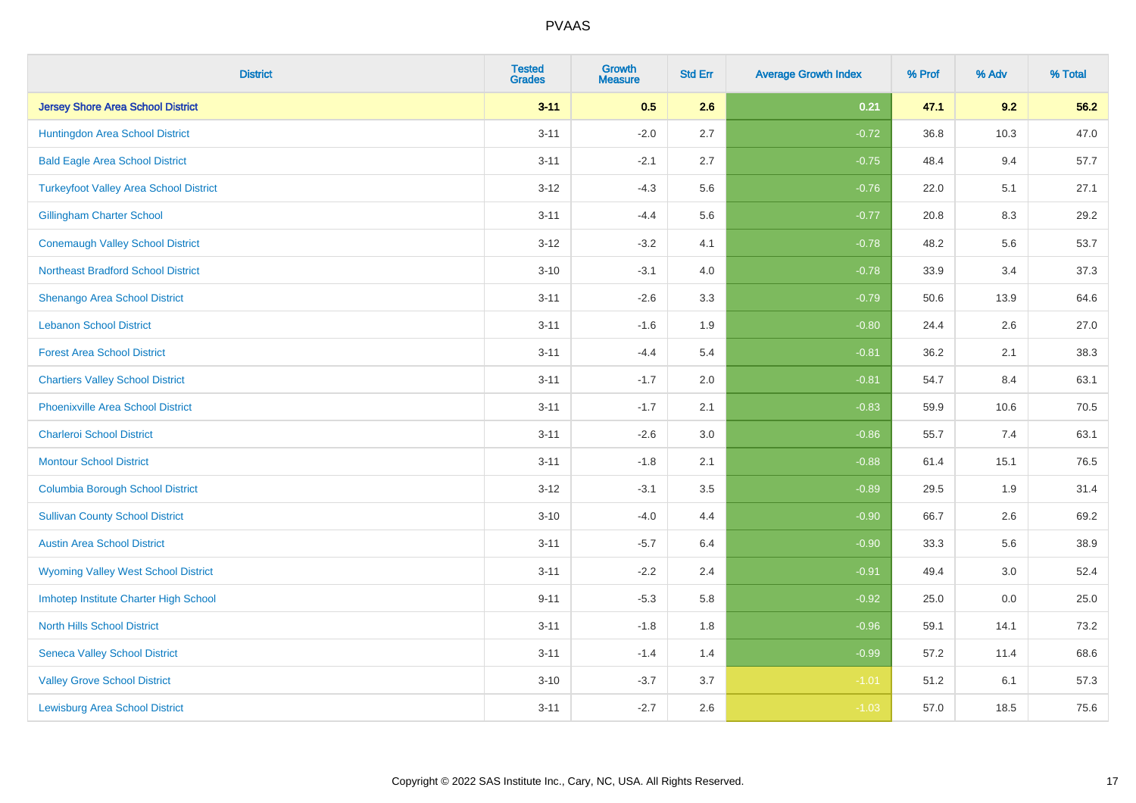| <b>District</b>                               | <b>Tested</b><br><b>Grades</b> | <b>Growth</b><br><b>Measure</b> | <b>Std Err</b> | <b>Average Growth Index</b> | % Prof | % Adv | % Total |
|-----------------------------------------------|--------------------------------|---------------------------------|----------------|-----------------------------|--------|-------|---------|
| <b>Jersey Shore Area School District</b>      | $3 - 11$                       | 0.5                             | 2.6            | 0.21                        | 47.1   | 9.2   | 56.2    |
| Huntingdon Area School District               | $3 - 11$                       | $-2.0$                          | 2.7            | $-0.72$                     | 36.8   | 10.3  | 47.0    |
| <b>Bald Eagle Area School District</b>        | $3 - 11$                       | $-2.1$                          | 2.7            | $-0.75$                     | 48.4   | 9.4   | 57.7    |
| <b>Turkeyfoot Valley Area School District</b> | $3 - 12$                       | $-4.3$                          | 5.6            | $-0.76$                     | 22.0   | 5.1   | 27.1    |
| <b>Gillingham Charter School</b>              | $3 - 11$                       | $-4.4$                          | 5.6            | $-0.77$                     | 20.8   | 8.3   | 29.2    |
| <b>Conemaugh Valley School District</b>       | $3 - 12$                       | $-3.2$                          | 4.1            | $-0.78$                     | 48.2   | 5.6   | 53.7    |
| <b>Northeast Bradford School District</b>     | $3 - 10$                       | $-3.1$                          | 4.0            | $-0.78$                     | 33.9   | 3.4   | 37.3    |
| Shenango Area School District                 | $3 - 11$                       | $-2.6$                          | 3.3            | $-0.79$                     | 50.6   | 13.9  | 64.6    |
| <b>Lebanon School District</b>                | $3 - 11$                       | $-1.6$                          | 1.9            | $-0.80$                     | 24.4   | 2.6   | 27.0    |
| <b>Forest Area School District</b>            | $3 - 11$                       | $-4.4$                          | 5.4            | $-0.81$                     | 36.2   | 2.1   | 38.3    |
| <b>Chartiers Valley School District</b>       | $3 - 11$                       | $-1.7$                          | 2.0            | $-0.81$                     | 54.7   | 8.4   | 63.1    |
| <b>Phoenixville Area School District</b>      | $3 - 11$                       | $-1.7$                          | 2.1            | $-0.83$                     | 59.9   | 10.6  | 70.5    |
| <b>Charleroi School District</b>              | $3 - 11$                       | $-2.6$                          | $3.0\,$        | $-0.86$                     | 55.7   | 7.4   | 63.1    |
| <b>Montour School District</b>                | $3 - 11$                       | $-1.8$                          | 2.1            | $-0.88$                     | 61.4   | 15.1  | 76.5    |
| <b>Columbia Borough School District</b>       | $3 - 12$                       | $-3.1$                          | 3.5            | $-0.89$                     | 29.5   | 1.9   | 31.4    |
| <b>Sullivan County School District</b>        | $3 - 10$                       | $-4.0$                          | 4.4            | $-0.90$                     | 66.7   | 2.6   | 69.2    |
| <b>Austin Area School District</b>            | $3 - 11$                       | $-5.7$                          | 6.4            | $-0.90$                     | 33.3   | 5.6   | 38.9    |
| <b>Wyoming Valley West School District</b>    | $3 - 11$                       | $-2.2$                          | 2.4            | $-0.91$                     | 49.4   | 3.0   | 52.4    |
| Imhotep Institute Charter High School         | $9 - 11$                       | $-5.3$                          | 5.8            | $-0.92$                     | 25.0   | 0.0   | 25.0    |
| <b>North Hills School District</b>            | $3 - 11$                       | $-1.8$                          | 1.8            | $-0.96$                     | 59.1   | 14.1  | 73.2    |
| <b>Seneca Valley School District</b>          | $3 - 11$                       | $-1.4$                          | 1.4            | $-0.99$                     | 57.2   | 11.4  | 68.6    |
| <b>Valley Grove School District</b>           | $3 - 10$                       | $-3.7$                          | 3.7            | $-1.01$                     | 51.2   | 6.1   | 57.3    |
| <b>Lewisburg Area School District</b>         | $3 - 11$                       | $-2.7$                          | 2.6            | $-1.03$                     | 57.0   | 18.5  | 75.6    |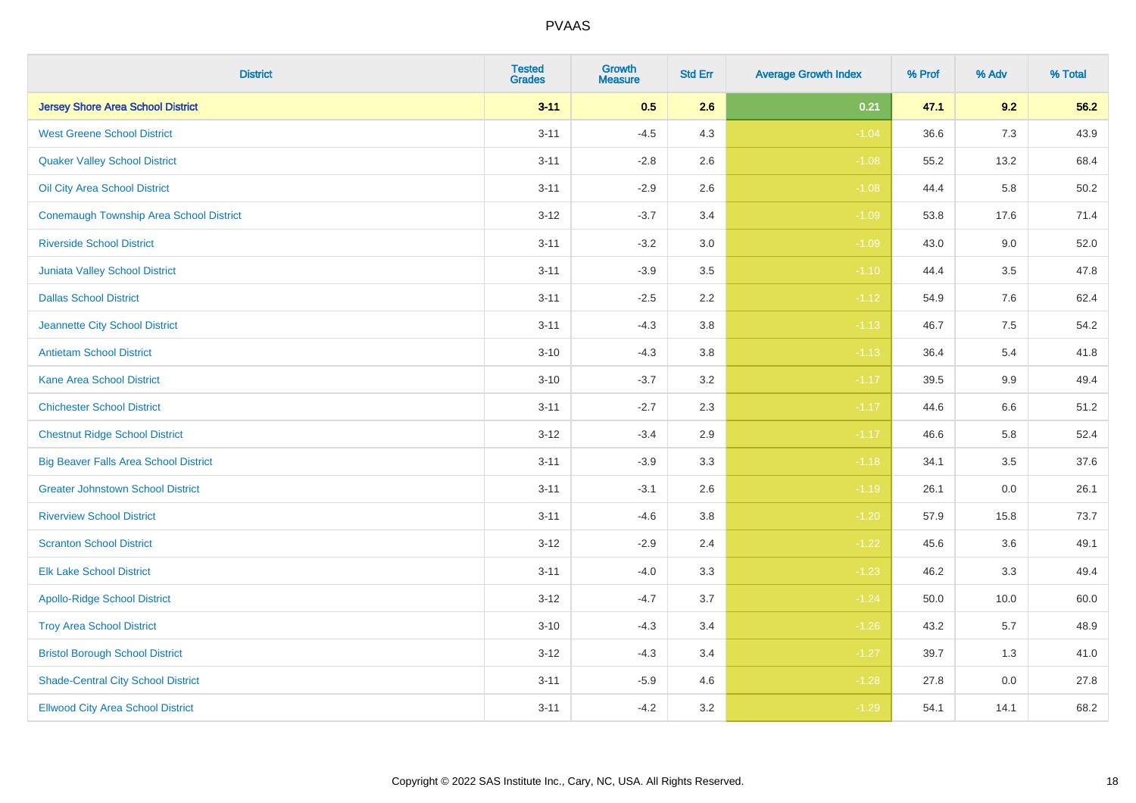| <b>District</b>                                | <b>Tested</b><br><b>Grades</b> | <b>Growth</b><br><b>Measure</b> | <b>Std Err</b> | <b>Average Growth Index</b> | % Prof | % Adv | % Total |
|------------------------------------------------|--------------------------------|---------------------------------|----------------|-----------------------------|--------|-------|---------|
| <b>Jersey Shore Area School District</b>       | $3 - 11$                       | 0.5                             | 2.6            | 0.21                        | 47.1   | 9.2   | 56.2    |
| <b>West Greene School District</b>             | $3 - 11$                       | $-4.5$                          | 4.3            | $-1.04$                     | 36.6   | 7.3   | 43.9    |
| <b>Quaker Valley School District</b>           | $3 - 11$                       | $-2.8$                          | 2.6            | $-1.08$                     | 55.2   | 13.2  | 68.4    |
| Oil City Area School District                  | $3 - 11$                       | $-2.9$                          | 2.6            | $-1.08$                     | 44.4   | 5.8   | 50.2    |
| <b>Conemaugh Township Area School District</b> | $3 - 12$                       | $-3.7$                          | 3.4            | $-1.09$                     | 53.8   | 17.6  | 71.4    |
| <b>Riverside School District</b>               | $3 - 11$                       | $-3.2$                          | 3.0            | $-1.09$                     | 43.0   | 9.0   | 52.0    |
| Juniata Valley School District                 | $3 - 11$                       | $-3.9$                          | 3.5            | $-1.10$                     | 44.4   | 3.5   | 47.8    |
| <b>Dallas School District</b>                  | $3 - 11$                       | $-2.5$                          | 2.2            | $-1.12$                     | 54.9   | 7.6   | 62.4    |
| Jeannette City School District                 | $3 - 11$                       | $-4.3$                          | 3.8            | $-1.13$                     | 46.7   | 7.5   | 54.2    |
| <b>Antietam School District</b>                | $3 - 10$                       | $-4.3$                          | 3.8            | $-1.13$                     | 36.4   | 5.4   | 41.8    |
| <b>Kane Area School District</b>               | $3 - 10$                       | $-3.7$                          | 3.2            | $-1.17$                     | 39.5   | 9.9   | 49.4    |
| <b>Chichester School District</b>              | $3 - 11$                       | $-2.7$                          | 2.3            | $-1.17$                     | 44.6   | 6.6   | 51.2    |
| <b>Chestnut Ridge School District</b>          | $3 - 12$                       | $-3.4$                          | 2.9            | $-1.17$                     | 46.6   | 5.8   | 52.4    |
| <b>Big Beaver Falls Area School District</b>   | $3 - 11$                       | $-3.9$                          | 3.3            | $-1.18$                     | 34.1   | 3.5   | 37.6    |
| <b>Greater Johnstown School District</b>       | $3 - 11$                       | $-3.1$                          | 2.6            | $-1.19$                     | 26.1   | 0.0   | 26.1    |
| <b>Riverview School District</b>               | $3 - 11$                       | $-4.6$                          | 3.8            | $-1.20$                     | 57.9   | 15.8  | 73.7    |
| <b>Scranton School District</b>                | $3 - 12$                       | $-2.9$                          | 2.4            | $-1.22$                     | 45.6   | 3.6   | 49.1    |
| <b>Elk Lake School District</b>                | $3 - 11$                       | $-4.0$                          | 3.3            | $-1.23$                     | 46.2   | 3.3   | 49.4    |
| <b>Apollo-Ridge School District</b>            | $3 - 12$                       | $-4.7$                          | 3.7            | $-1.24$                     | 50.0   | 10.0  | 60.0    |
| <b>Troy Area School District</b>               | $3 - 10$                       | $-4.3$                          | 3.4            | $-1.26$                     | 43.2   | 5.7   | 48.9    |
| <b>Bristol Borough School District</b>         | $3 - 12$                       | $-4.3$                          | 3.4            | $-1.27$                     | 39.7   | 1.3   | 41.0    |
| <b>Shade-Central City School District</b>      | $3 - 11$                       | $-5.9$                          | 4.6            | $-1.28$                     | 27.8   | 0.0   | 27.8    |
| <b>Ellwood City Area School District</b>       | $3 - 11$                       | $-4.2$                          | 3.2            | $-1.29$                     | 54.1   | 14.1  | 68.2    |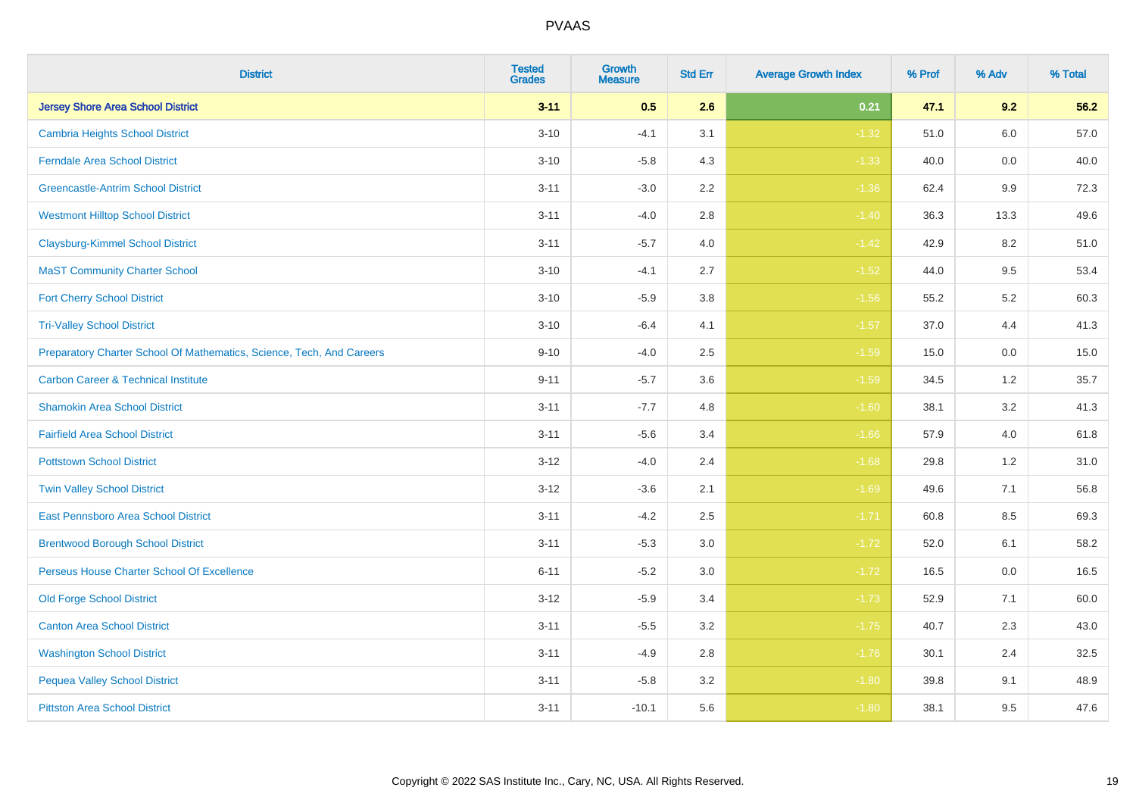| <b>District</b>                                                       | <b>Tested</b><br><b>Grades</b> | <b>Growth</b><br><b>Measure</b> | <b>Std Err</b> | <b>Average Growth Index</b> | % Prof | % Adv   | % Total |
|-----------------------------------------------------------------------|--------------------------------|---------------------------------|----------------|-----------------------------|--------|---------|---------|
| <b>Jersey Shore Area School District</b>                              | $3 - 11$                       | 0.5                             | 2.6            | 0.21                        | 47.1   | 9.2     | 56.2    |
| <b>Cambria Heights School District</b>                                | $3 - 10$                       | $-4.1$                          | 3.1            | $-1.32$                     | 51.0   | $6.0\,$ | 57.0    |
| <b>Ferndale Area School District</b>                                  | $3 - 10$                       | $-5.8$                          | 4.3            | $-1.33$                     | 40.0   | 0.0     | 40.0    |
| <b>Greencastle-Antrim School District</b>                             | $3 - 11$                       | $-3.0$                          | 2.2            | $-1.36$                     | 62.4   | 9.9     | 72.3    |
| <b>Westmont Hilltop School District</b>                               | $3 - 11$                       | $-4.0$                          | 2.8            | $-1.40$                     | 36.3   | 13.3    | 49.6    |
| <b>Claysburg-Kimmel School District</b>                               | $3 - 11$                       | $-5.7$                          | 4.0            | $-1.42$                     | 42.9   | 8.2     | 51.0    |
| <b>MaST Community Charter School</b>                                  | $3 - 10$                       | $-4.1$                          | 2.7            | $-1.52$                     | 44.0   | 9.5     | 53.4    |
| <b>Fort Cherry School District</b>                                    | $3 - 10$                       | $-5.9$                          | 3.8            | $-1.56$                     | 55.2   | 5.2     | 60.3    |
| <b>Tri-Valley School District</b>                                     | $3 - 10$                       | $-6.4$                          | 4.1            | $-1.57$                     | 37.0   | 4.4     | 41.3    |
| Preparatory Charter School Of Mathematics, Science, Tech, And Careers | $9 - 10$                       | $-4.0$                          | 2.5            | $-1.59$                     | 15.0   | 0.0     | 15.0    |
| <b>Carbon Career &amp; Technical Institute</b>                        | $9 - 11$                       | $-5.7$                          | 3.6            | $-1.59$                     | 34.5   | $1.2$   | 35.7    |
| <b>Shamokin Area School District</b>                                  | $3 - 11$                       | $-7.7$                          | 4.8            | $-1.60$                     | 38.1   | 3.2     | 41.3    |
| <b>Fairfield Area School District</b>                                 | $3 - 11$                       | $-5.6$                          | 3.4            | $-1.66$                     | 57.9   | 4.0     | 61.8    |
| <b>Pottstown School District</b>                                      | $3 - 12$                       | $-4.0$                          | 2.4            | $-1.68$                     | 29.8   | 1.2     | 31.0    |
| <b>Twin Valley School District</b>                                    | $3 - 12$                       | $-3.6$                          | 2.1            | $-1.69$                     | 49.6   | 7.1     | 56.8    |
| <b>East Pennsboro Area School District</b>                            | $3 - 11$                       | $-4.2$                          | 2.5            | $-1.71$                     | 60.8   | 8.5     | 69.3    |
| <b>Brentwood Borough School District</b>                              | $3 - 11$                       | $-5.3$                          | 3.0            | $-1.72$                     | 52.0   | 6.1     | 58.2    |
| Perseus House Charter School Of Excellence                            | $6 - 11$                       | $-5.2$                          | 3.0            | $-1.72$                     | 16.5   | 0.0     | 16.5    |
| <b>Old Forge School District</b>                                      | $3 - 12$                       | $-5.9$                          | 3.4            | $-1.73$                     | 52.9   | 7.1     | 60.0    |
| <b>Canton Area School District</b>                                    | $3 - 11$                       | $-5.5$                          | 3.2            | $-1.75$                     | 40.7   | 2.3     | 43.0    |
| <b>Washington School District</b>                                     | $3 - 11$                       | $-4.9$                          | 2.8            | $-1.76$                     | 30.1   | 2.4     | 32.5    |
| <b>Pequea Valley School District</b>                                  | $3 - 11$                       | $-5.8$                          | 3.2            | $-1.80$                     | 39.8   | 9.1     | 48.9    |
| <b>Pittston Area School District</b>                                  | $3 - 11$                       | $-10.1$                         | 5.6            | $-1.80$                     | 38.1   | 9.5     | 47.6    |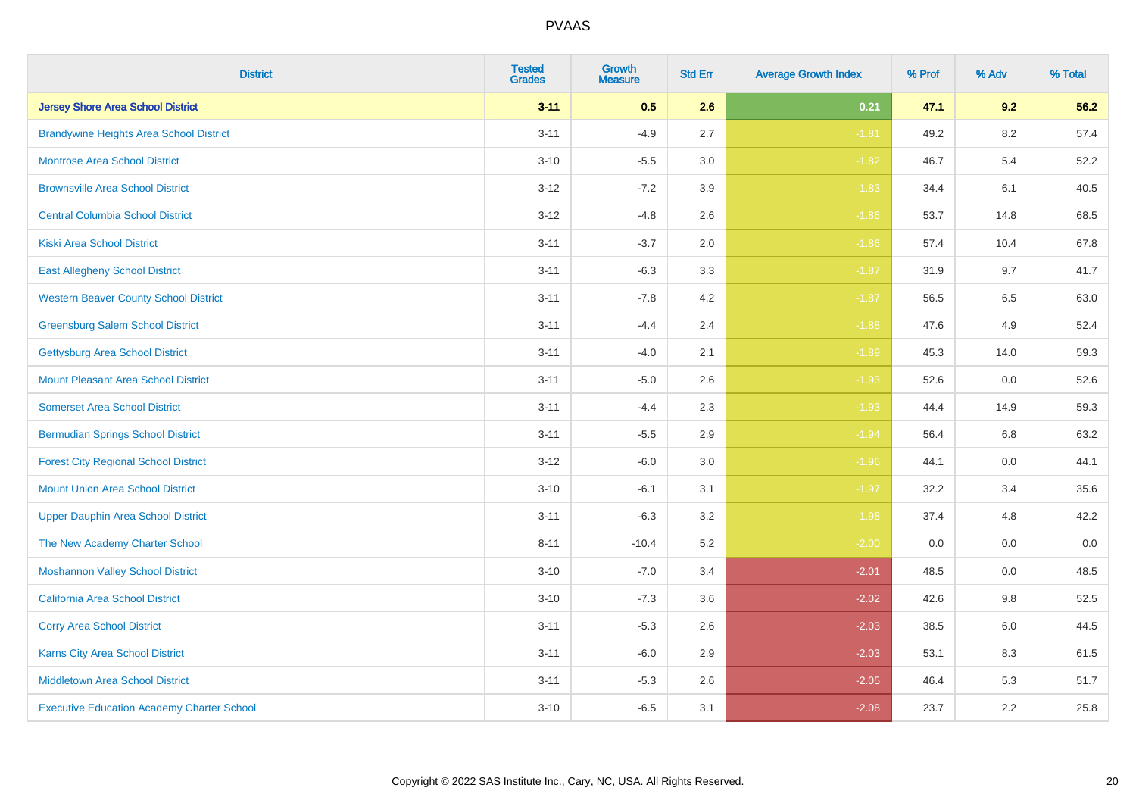| <b>District</b>                                   | <b>Tested</b><br><b>Grades</b> | <b>Growth</b><br><b>Measure</b> | <b>Std Err</b> | <b>Average Growth Index</b> | % Prof | % Adv   | % Total |
|---------------------------------------------------|--------------------------------|---------------------------------|----------------|-----------------------------|--------|---------|---------|
| <b>Jersey Shore Area School District</b>          | $3 - 11$                       | 0.5                             | 2.6            | 0.21                        | 47.1   | 9.2     | 56.2    |
| <b>Brandywine Heights Area School District</b>    | $3 - 11$                       | $-4.9$                          | 2.7            | $-1.81$                     | 49.2   | $8.2\,$ | 57.4    |
| <b>Montrose Area School District</b>              | $3 - 10$                       | $-5.5$                          | 3.0            | $-1.82$                     | 46.7   | 5.4     | 52.2    |
| <b>Brownsville Area School District</b>           | $3 - 12$                       | $-7.2$                          | 3.9            | $-1.83$                     | 34.4   | 6.1     | 40.5    |
| <b>Central Columbia School District</b>           | $3 - 12$                       | $-4.8$                          | 2.6            | $-1.86$                     | 53.7   | 14.8    | 68.5    |
| <b>Kiski Area School District</b>                 | $3 - 11$                       | $-3.7$                          | 2.0            | $-1.86$                     | 57.4   | 10.4    | 67.8    |
| <b>East Allegheny School District</b>             | $3 - 11$                       | $-6.3$                          | 3.3            | $-1.87$                     | 31.9   | 9.7     | 41.7    |
| <b>Western Beaver County School District</b>      | $3 - 11$                       | $-7.8$                          | 4.2            | $-1.87$                     | 56.5   | 6.5     | 63.0    |
| <b>Greensburg Salem School District</b>           | $3 - 11$                       | $-4.4$                          | 2.4            | $-1.88$                     | 47.6   | 4.9     | 52.4    |
| Gettysburg Area School District                   | $3 - 11$                       | $-4.0$                          | 2.1            | $-1.89$                     | 45.3   | 14.0    | 59.3    |
| Mount Pleasant Area School District               | $3 - 11$                       | $-5.0$                          | 2.6            | $-1.93$                     | 52.6   | 0.0     | 52.6    |
| <b>Somerset Area School District</b>              | $3 - 11$                       | $-4.4$                          | 2.3            | $-1.93$                     | 44.4   | 14.9    | 59.3    |
| <b>Bermudian Springs School District</b>          | $3 - 11$                       | $-5.5$                          | 2.9            | $-1.94$                     | 56.4   | $6.8\,$ | 63.2    |
| <b>Forest City Regional School District</b>       | $3 - 12$                       | $-6.0$                          | 3.0            | $-1.96$                     | 44.1   | 0.0     | 44.1    |
| <b>Mount Union Area School District</b>           | $3 - 10$                       | $-6.1$                          | 3.1            | $-1.97$                     | 32.2   | 3.4     | 35.6    |
| <b>Upper Dauphin Area School District</b>         | $3 - 11$                       | $-6.3$                          | 3.2            | $-1.98$                     | 37.4   | 4.8     | 42.2    |
| The New Academy Charter School                    | $8 - 11$                       | $-10.4$                         | 5.2            | $-2.00$                     | 0.0    | 0.0     | 0.0     |
| <b>Moshannon Valley School District</b>           | $3 - 10$                       | $-7.0$                          | 3.4            | $-2.01$                     | 48.5   | 0.0     | 48.5    |
| <b>California Area School District</b>            | $3 - 10$                       | $-7.3$                          | 3.6            | $-2.02$                     | 42.6   | 9.8     | 52.5    |
| <b>Corry Area School District</b>                 | $3 - 11$                       | $-5.3$                          | 2.6            | $-2.03$                     | 38.5   | $6.0\,$ | 44.5    |
| Karns City Area School District                   | $3 - 11$                       | $-6.0$                          | 2.9            | $-2.03$                     | 53.1   | 8.3     | 61.5    |
| <b>Middletown Area School District</b>            | $3 - 11$                       | $-5.3$                          | 2.6            | $-2.05$                     | 46.4   | 5.3     | 51.7    |
| <b>Executive Education Academy Charter School</b> | $3 - 10$                       | $-6.5$                          | 3.1            | $-2.08$                     | 23.7   | 2.2     | 25.8    |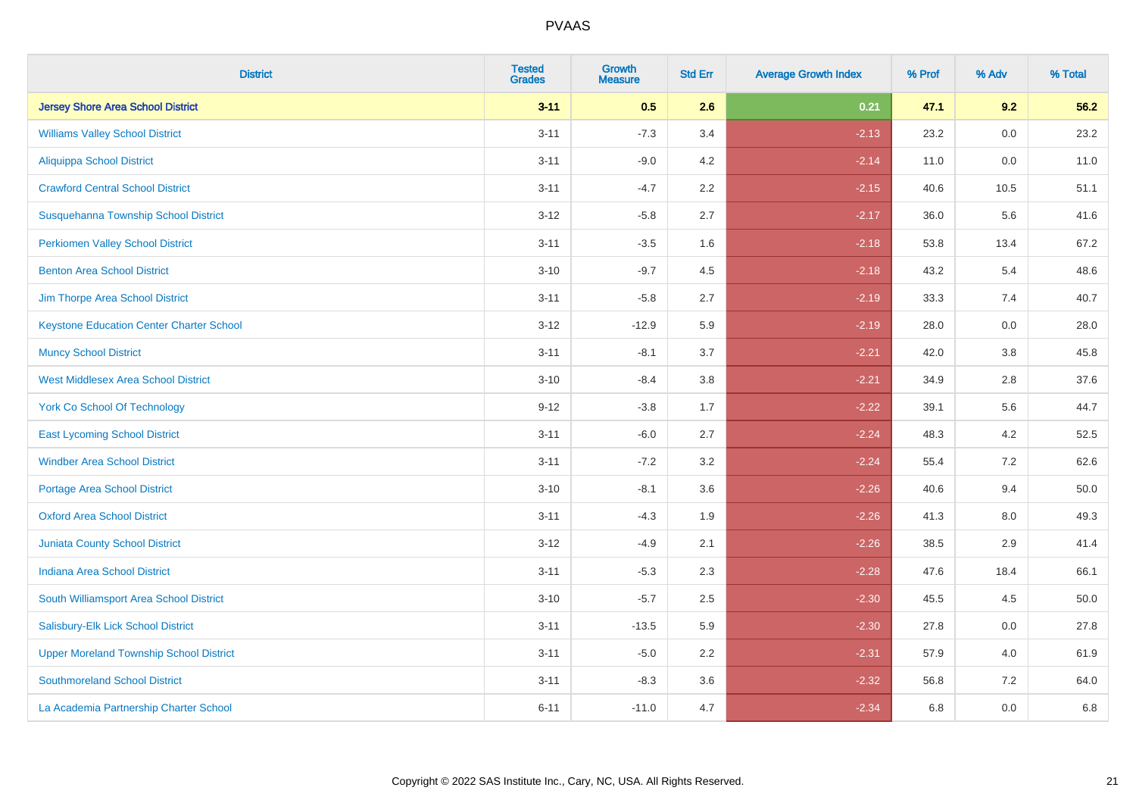| <b>District</b>                                 | <b>Tested</b><br><b>Grades</b> | <b>Growth</b><br><b>Measure</b> | <b>Std Err</b> | <b>Average Growth Index</b> | % Prof | % Adv   | % Total |
|-------------------------------------------------|--------------------------------|---------------------------------|----------------|-----------------------------|--------|---------|---------|
| <b>Jersey Shore Area School District</b>        | $3 - 11$                       | 0.5                             | 2.6            | 0.21                        | 47.1   | 9.2     | 56.2    |
| <b>Williams Valley School District</b>          | $3 - 11$                       | $-7.3$                          | 3.4            | $-2.13$                     | 23.2   | 0.0     | 23.2    |
| <b>Aliquippa School District</b>                | $3 - 11$                       | $-9.0$                          | 4.2            | $-2.14$                     | 11.0   | 0.0     | 11.0    |
| <b>Crawford Central School District</b>         | $3 - 11$                       | $-4.7$                          | 2.2            | $-2.15$                     | 40.6   | 10.5    | 51.1    |
| Susquehanna Township School District            | $3 - 12$                       | $-5.8$                          | 2.7            | $-2.17$                     | 36.0   | 5.6     | 41.6    |
| <b>Perkiomen Valley School District</b>         | $3 - 11$                       | $-3.5$                          | 1.6            | $-2.18$                     | 53.8   | 13.4    | 67.2    |
| <b>Benton Area School District</b>              | $3 - 10$                       | $-9.7$                          | 4.5            | $-2.18$                     | 43.2   | 5.4     | 48.6    |
| Jim Thorpe Area School District                 | $3 - 11$                       | $-5.8$                          | 2.7            | $-2.19$                     | 33.3   | 7.4     | 40.7    |
| <b>Keystone Education Center Charter School</b> | $3 - 12$                       | $-12.9$                         | 5.9            | $-2.19$                     | 28.0   | 0.0     | 28.0    |
| <b>Muncy School District</b>                    | $3 - 11$                       | $-8.1$                          | 3.7            | $-2.21$                     | 42.0   | 3.8     | 45.8    |
| <b>West Middlesex Area School District</b>      | $3 - 10$                       | $-8.4$                          | 3.8            | $-2.21$                     | 34.9   | 2.8     | 37.6    |
| <b>York Co School Of Technology</b>             | $9 - 12$                       | $-3.8$                          | 1.7            | $-2.22$                     | 39.1   | 5.6     | 44.7    |
| <b>East Lycoming School District</b>            | $3 - 11$                       | $-6.0$                          | 2.7            | $-2.24$                     | 48.3   | 4.2     | 52.5    |
| <b>Windber Area School District</b>             | $3 - 11$                       | $-7.2$                          | 3.2            | $-2.24$                     | 55.4   | 7.2     | 62.6    |
| <b>Portage Area School District</b>             | $3 - 10$                       | $-8.1$                          | 3.6            | $-2.26$                     | 40.6   | 9.4     | 50.0    |
| <b>Oxford Area School District</b>              | $3 - 11$                       | $-4.3$                          | 1.9            | $-2.26$                     | 41.3   | $8.0\,$ | 49.3    |
| <b>Juniata County School District</b>           | $3 - 12$                       | $-4.9$                          | 2.1            | $-2.26$                     | 38.5   | 2.9     | 41.4    |
| <b>Indiana Area School District</b>             | $3 - 11$                       | $-5.3$                          | 2.3            | $-2.28$                     | 47.6   | 18.4    | 66.1    |
| South Williamsport Area School District         | $3 - 10$                       | $-5.7$                          | 2.5            | $-2.30$                     | 45.5   | 4.5     | 50.0    |
| Salisbury-Elk Lick School District              | $3 - 11$                       | $-13.5$                         | 5.9            | $-2.30$                     | 27.8   | 0.0     | 27.8    |
| <b>Upper Moreland Township School District</b>  | $3 - 11$                       | $-5.0$                          | 2.2            | $-2.31$                     | 57.9   | 4.0     | 61.9    |
| <b>Southmoreland School District</b>            | $3 - 11$                       | $-8.3$                          | 3.6            | $-2.32$                     | 56.8   | 7.2     | 64.0    |
| La Academia Partnership Charter School          | $6 - 11$                       | $-11.0$                         | 4.7            | $-2.34$                     | 6.8    | 0.0     | 6.8     |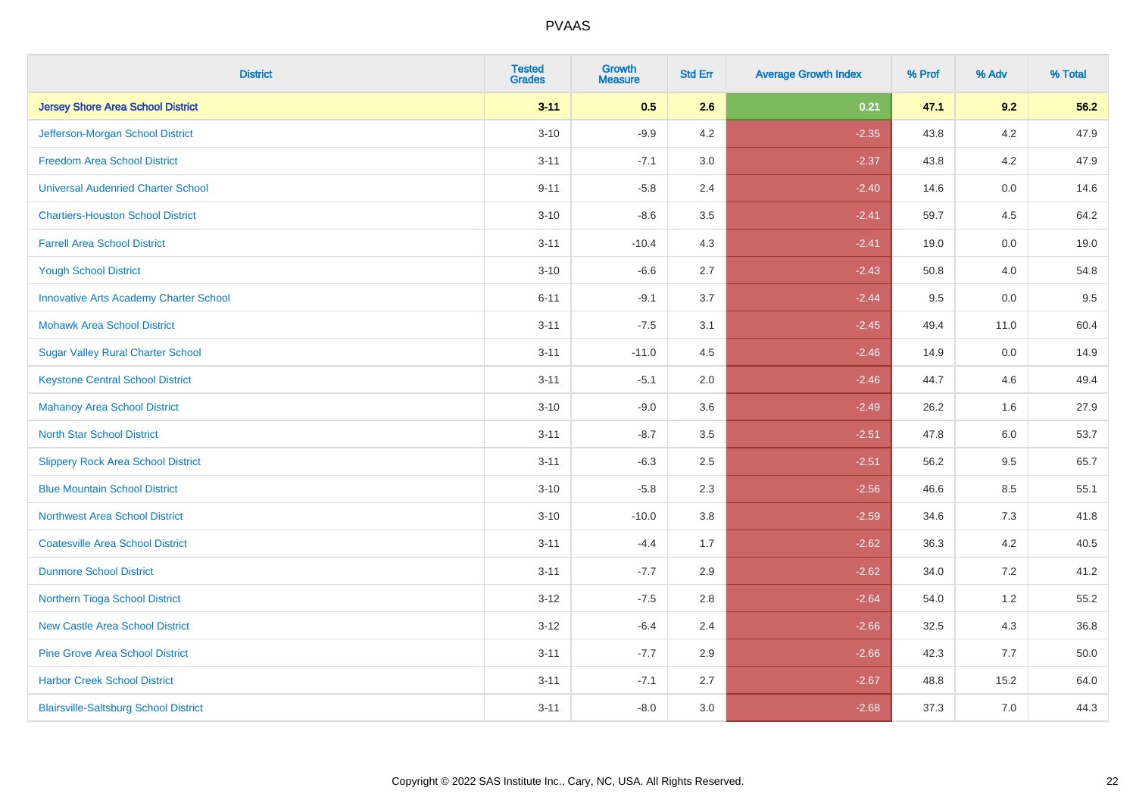| <b>District</b>                               | <b>Tested</b><br><b>Grades</b> | <b>Growth</b><br><b>Measure</b> | <b>Std Err</b> | <b>Average Growth Index</b> | % Prof | % Adv   | % Total |
|-----------------------------------------------|--------------------------------|---------------------------------|----------------|-----------------------------|--------|---------|---------|
| <b>Jersey Shore Area School District</b>      | $3 - 11$                       | 0.5                             | 2.6            | 0.21                        | 47.1   | 9.2     | 56.2    |
| Jefferson-Morgan School District              | $3 - 10$                       | $-9.9$                          | 4.2            | $-2.35$                     | 43.8   | 4.2     | 47.9    |
| <b>Freedom Area School District</b>           | $3 - 11$                       | $-7.1$                          | 3.0            | $-2.37$                     | 43.8   | 4.2     | 47.9    |
| <b>Universal Audenried Charter School</b>     | $9 - 11$                       | $-5.8$                          | 2.4            | $-2.40$                     | 14.6   | 0.0     | 14.6    |
| <b>Chartiers-Houston School District</b>      | $3 - 10$                       | $-8.6$                          | 3.5            | $-2.41$                     | 59.7   | 4.5     | 64.2    |
| <b>Farrell Area School District</b>           | $3 - 11$                       | $-10.4$                         | 4.3            | $-2.41$                     | 19.0   | 0.0     | 19.0    |
| <b>Yough School District</b>                  | $3 - 10$                       | $-6.6$                          | 2.7            | $-2.43$                     | 50.8   | 4.0     | 54.8    |
| <b>Innovative Arts Academy Charter School</b> | $6 - 11$                       | $-9.1$                          | 3.7            | $-2.44$                     | 9.5    | 0.0     | 9.5     |
| <b>Mohawk Area School District</b>            | $3 - 11$                       | $-7.5$                          | 3.1            | $-2.45$                     | 49.4   | 11.0    | 60.4    |
| <b>Sugar Valley Rural Charter School</b>      | $3 - 11$                       | $-11.0$                         | 4.5            | $-2.46$                     | 14.9   | 0.0     | 14.9    |
| <b>Keystone Central School District</b>       | $3 - 11$                       | $-5.1$                          | 2.0            | $-2.46$                     | 44.7   | 4.6     | 49.4    |
| <b>Mahanoy Area School District</b>           | $3 - 10$                       | $-9.0$                          | 3.6            | $-2.49$                     | 26.2   | 1.6     | 27.9    |
| <b>North Star School District</b>             | $3 - 11$                       | $-8.7$                          | $3.5\,$        | $-2.51$                     | 47.8   | $6.0\,$ | 53.7    |
| <b>Slippery Rock Area School District</b>     | $3 - 11$                       | $-6.3$                          | 2.5            | $-2.51$                     | 56.2   | 9.5     | 65.7    |
| <b>Blue Mountain School District</b>          | $3 - 10$                       | $-5.8$                          | 2.3            | $-2.56$                     | 46.6   | 8.5     | 55.1    |
| <b>Northwest Area School District</b>         | $3 - 10$                       | $-10.0$                         | 3.8            | $-2.59$                     | 34.6   | $7.3$   | 41.8    |
| <b>Coatesville Area School District</b>       | $3 - 11$                       | $-4.4$                          | 1.7            | $-2.62$                     | 36.3   | 4.2     | 40.5    |
| <b>Dunmore School District</b>                | $3 - 11$                       | $-7.7$                          | 2.9            | $-2.62$                     | 34.0   | 7.2     | 41.2    |
| Northern Tioga School District                | $3 - 12$                       | $-7.5$                          | 2.8            | $-2.64$                     | 54.0   | 1.2     | 55.2    |
| <b>New Castle Area School District</b>        | $3-12$                         | $-6.4$                          | 2.4            | $-2.66$                     | 32.5   | 4.3     | 36.8    |
| <b>Pine Grove Area School District</b>        | $3 - 11$                       | $-7.7$                          | 2.9            | $-2.66$                     | 42.3   | 7.7     | 50.0    |
| <b>Harbor Creek School District</b>           | $3 - 11$                       | $-7.1$                          | 2.7            | $-2.67$                     | 48.8   | 15.2    | 64.0    |
| <b>Blairsville-Saltsburg School District</b>  | $3 - 11$                       | $-8.0$                          | 3.0            | $-2.68$                     | 37.3   | 7.0     | 44.3    |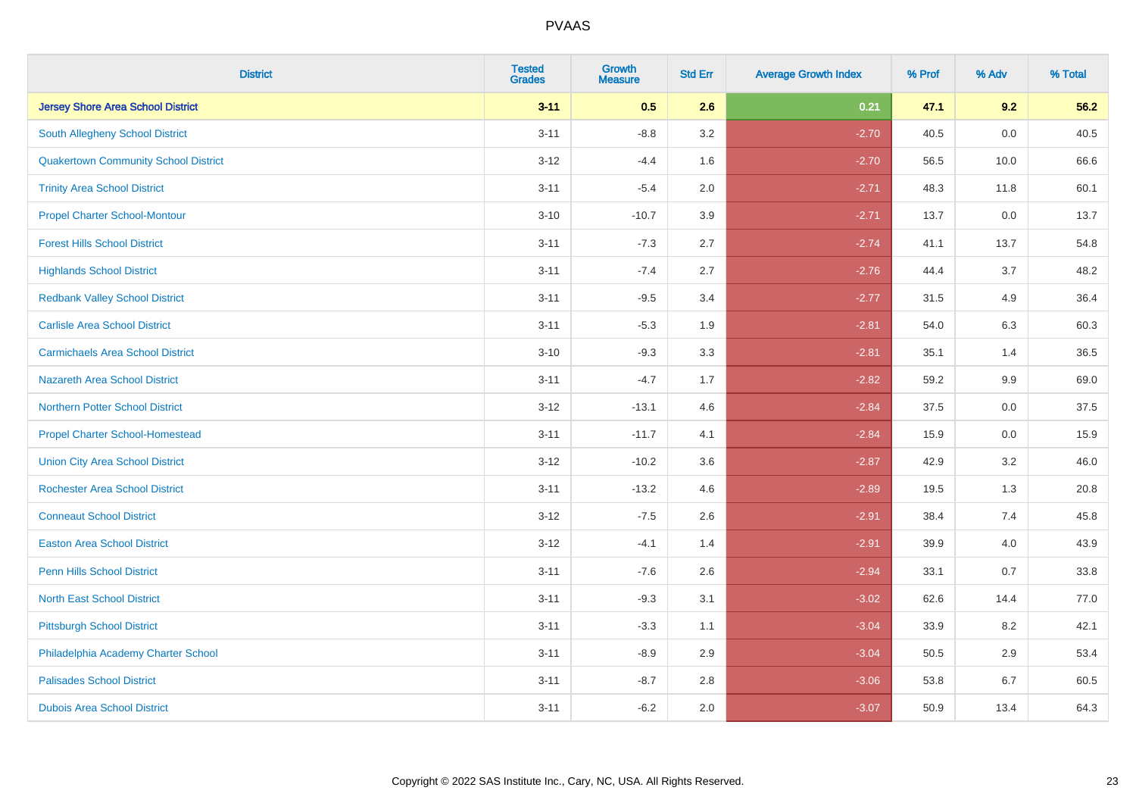| <b>District</b>                             | <b>Tested</b><br><b>Grades</b> | <b>Growth</b><br><b>Measure</b> | <b>Std Err</b> | <b>Average Growth Index</b> | % Prof | % Adv | % Total |
|---------------------------------------------|--------------------------------|---------------------------------|----------------|-----------------------------|--------|-------|---------|
| <b>Jersey Shore Area School District</b>    | $3 - 11$                       | 0.5                             | 2.6            | 0.21                        | 47.1   | 9.2   | 56.2    |
| South Allegheny School District             | $3 - 11$                       | $-8.8$                          | 3.2            | $-2.70$                     | 40.5   | 0.0   | 40.5    |
| <b>Quakertown Community School District</b> | $3 - 12$                       | $-4.4$                          | 1.6            | $-2.70$                     | 56.5   | 10.0  | 66.6    |
| <b>Trinity Area School District</b>         | $3 - 11$                       | $-5.4$                          | 2.0            | $-2.71$                     | 48.3   | 11.8  | 60.1    |
| <b>Propel Charter School-Montour</b>        | $3 - 10$                       | $-10.7$                         | 3.9            | $-2.71$                     | 13.7   | 0.0   | 13.7    |
| <b>Forest Hills School District</b>         | $3 - 11$                       | $-7.3$                          | 2.7            | $-2.74$                     | 41.1   | 13.7  | 54.8    |
| <b>Highlands School District</b>            | $3 - 11$                       | $-7.4$                          | 2.7            | $-2.76$                     | 44.4   | 3.7   | 48.2    |
| <b>Redbank Valley School District</b>       | $3 - 11$                       | $-9.5$                          | 3.4            | $-2.77$                     | 31.5   | 4.9   | 36.4    |
| <b>Carlisle Area School District</b>        | $3 - 11$                       | $-5.3$                          | 1.9            | $-2.81$                     | 54.0   | 6.3   | 60.3    |
| <b>Carmichaels Area School District</b>     | $3 - 10$                       | $-9.3$                          | 3.3            | $-2.81$                     | 35.1   | 1.4   | 36.5    |
| <b>Nazareth Area School District</b>        | $3 - 11$                       | $-4.7$                          | 1.7            | $-2.82$                     | 59.2   | 9.9   | 69.0    |
| <b>Northern Potter School District</b>      | $3-12$                         | $-13.1$                         | 4.6            | $-2.84$                     | 37.5   | 0.0   | 37.5    |
| <b>Propel Charter School-Homestead</b>      | $3 - 11$                       | $-11.7$                         | 4.1            | $-2.84$                     | 15.9   | 0.0   | 15.9    |
| <b>Union City Area School District</b>      | $3 - 12$                       | $-10.2$                         | 3.6            | $-2.87$                     | 42.9   | 3.2   | 46.0    |
| <b>Rochester Area School District</b>       | $3 - 11$                       | $-13.2$                         | 4.6            | $-2.89$                     | 19.5   | 1.3   | 20.8    |
| <b>Conneaut School District</b>             | $3 - 12$                       | $-7.5$                          | 2.6            | $-2.91$                     | 38.4   | 7.4   | 45.8    |
| <b>Easton Area School District</b>          | $3 - 12$                       | $-4.1$                          | 1.4            | $-2.91$                     | 39.9   | 4.0   | 43.9    |
| <b>Penn Hills School District</b>           | $3 - 11$                       | $-7.6$                          | 2.6            | $-2.94$                     | 33.1   | 0.7   | 33.8    |
| <b>North East School District</b>           | $3 - 11$                       | $-9.3$                          | 3.1            | $-3.02$                     | 62.6   | 14.4  | 77.0    |
| <b>Pittsburgh School District</b>           | $3 - 11$                       | $-3.3$                          | 1.1            | $-3.04$                     | 33.9   | 8.2   | 42.1    |
| Philadelphia Academy Charter School         | $3 - 11$                       | $-8.9$                          | 2.9            | $-3.04$                     | 50.5   | 2.9   | 53.4    |
| <b>Palisades School District</b>            | $3 - 11$                       | $-8.7$                          | 2.8            | $-3.06$                     | 53.8   | 6.7   | 60.5    |
| <b>Dubois Area School District</b>          | $3 - 11$                       | $-6.2$                          | 2.0            | $-3.07$                     | 50.9   | 13.4  | 64.3    |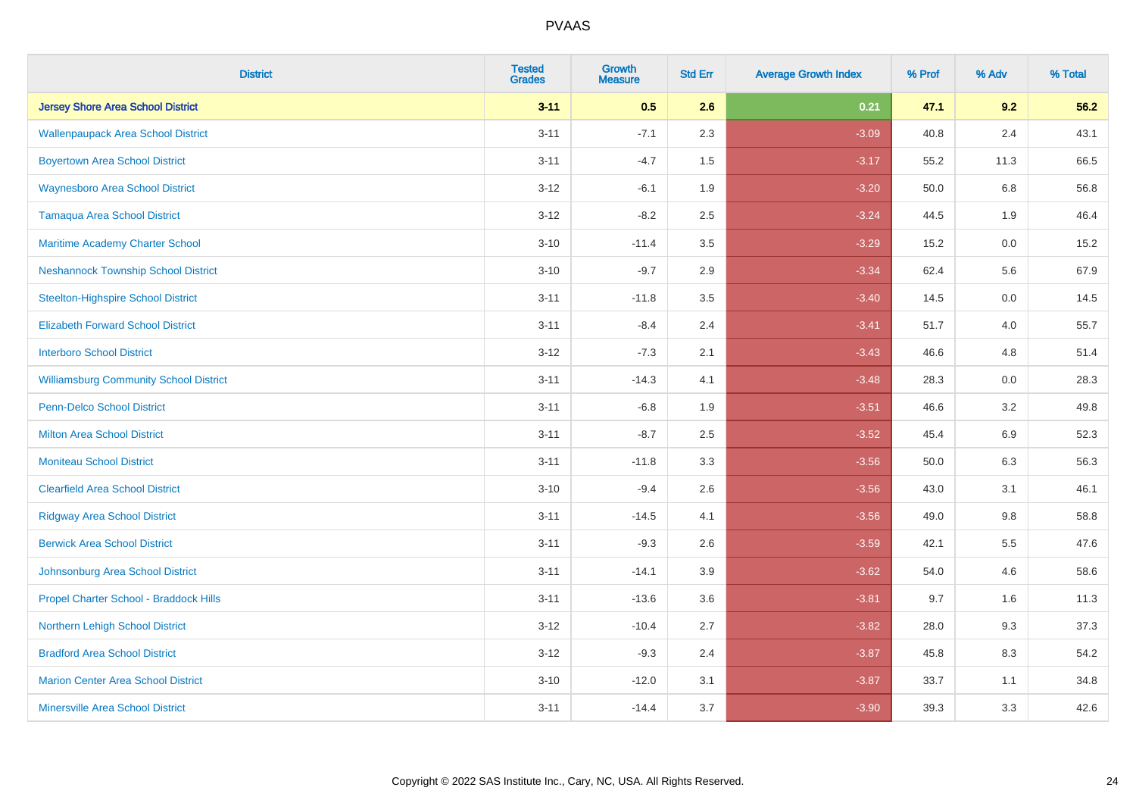| <b>District</b>                               | <b>Tested</b><br><b>Grades</b> | <b>Growth</b><br><b>Measure</b> | <b>Std Err</b> | <b>Average Growth Index</b> | % Prof | % Adv   | % Total |
|-----------------------------------------------|--------------------------------|---------------------------------|----------------|-----------------------------|--------|---------|---------|
| <b>Jersey Shore Area School District</b>      | $3 - 11$                       | 0.5                             | 2.6            | 0.21                        | 47.1   | 9.2     | 56.2    |
| <b>Wallenpaupack Area School District</b>     | $3 - 11$                       | $-7.1$                          | 2.3            | $-3.09$                     | 40.8   | 2.4     | 43.1    |
| <b>Boyertown Area School District</b>         | $3 - 11$                       | $-4.7$                          | 1.5            | $-3.17$                     | 55.2   | 11.3    | 66.5    |
| <b>Waynesboro Area School District</b>        | $3 - 12$                       | $-6.1$                          | 1.9            | $-3.20$                     | 50.0   | 6.8     | 56.8    |
| <b>Tamaqua Area School District</b>           | $3 - 12$                       | $-8.2$                          | 2.5            | $-3.24$                     | 44.5   | 1.9     | 46.4    |
| Maritime Academy Charter School               | $3 - 10$                       | $-11.4$                         | 3.5            | $-3.29$                     | 15.2   | 0.0     | 15.2    |
| <b>Neshannock Township School District</b>    | $3 - 10$                       | $-9.7$                          | 2.9            | $-3.34$                     | 62.4   | 5.6     | 67.9    |
| <b>Steelton-Highspire School District</b>     | $3 - 11$                       | $-11.8$                         | 3.5            | $-3.40$                     | 14.5   | 0.0     | 14.5    |
| <b>Elizabeth Forward School District</b>      | $3 - 11$                       | $-8.4$                          | 2.4            | $-3.41$                     | 51.7   | 4.0     | 55.7    |
| <b>Interboro School District</b>              | $3 - 12$                       | $-7.3$                          | 2.1            | $-3.43$                     | 46.6   | 4.8     | 51.4    |
| <b>Williamsburg Community School District</b> | $3 - 11$                       | $-14.3$                         | 4.1            | $-3.48$                     | 28.3   | 0.0     | 28.3    |
| Penn-Delco School District                    | $3 - 11$                       | $-6.8$                          | 1.9            | $-3.51$                     | 46.6   | 3.2     | 49.8    |
| <b>Milton Area School District</b>            | $3 - 11$                       | $-8.7$                          | 2.5            | $-3.52$                     | 45.4   | 6.9     | 52.3    |
| <b>Moniteau School District</b>               | $3 - 11$                       | $-11.8$                         | 3.3            | $-3.56$                     | 50.0   | 6.3     | 56.3    |
| <b>Clearfield Area School District</b>        | $3 - 10$                       | $-9.4$                          | 2.6            | $-3.56$                     | 43.0   | 3.1     | 46.1    |
| <b>Ridgway Area School District</b>           | $3 - 11$                       | $-14.5$                         | 4.1            | $-3.56$                     | 49.0   | $9.8\,$ | 58.8    |
| <b>Berwick Area School District</b>           | $3 - 11$                       | $-9.3$                          | 2.6            | $-3.59$                     | 42.1   | 5.5     | 47.6    |
| Johnsonburg Area School District              | $3 - 11$                       | $-14.1$                         | 3.9            | $-3.62$                     | 54.0   | 4.6     | 58.6    |
| Propel Charter School - Braddock Hills        | $3 - 11$                       | $-13.6$                         | 3.6            | $-3.81$                     | 9.7    | 1.6     | 11.3    |
| Northern Lehigh School District               | $3 - 12$                       | $-10.4$                         | 2.7            | $-3.82$                     | 28.0   | 9.3     | 37.3    |
| <b>Bradford Area School District</b>          | $3-12$                         | $-9.3$                          | 2.4            | $-3.87$                     | 45.8   | 8.3     | 54.2    |
| <b>Marion Center Area School District</b>     | $3 - 10$                       | $-12.0$                         | 3.1            | $-3.87$                     | 33.7   | 1.1     | 34.8    |
| <b>Minersville Area School District</b>       | $3 - 11$                       | $-14.4$                         | 3.7            | $-3.90$                     | 39.3   | 3.3     | 42.6    |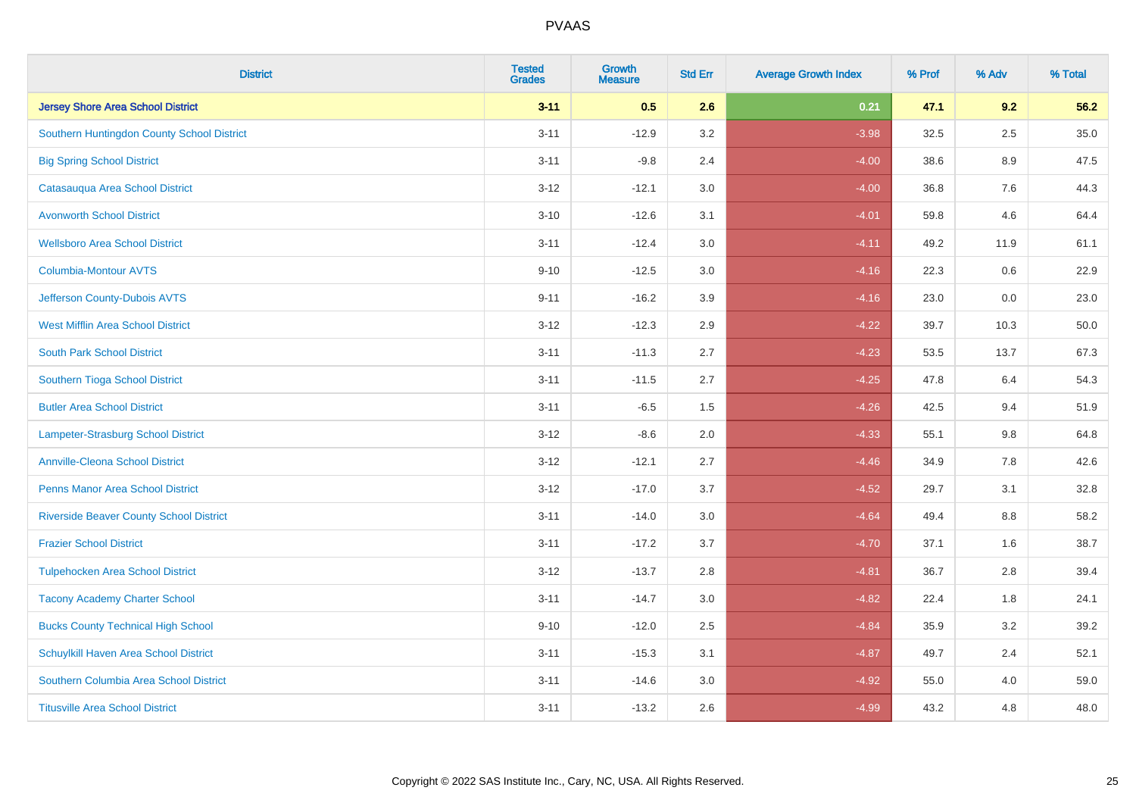| <b>District</b>                                | <b>Tested</b><br><b>Grades</b> | <b>Growth</b><br><b>Measure</b> | <b>Std Err</b> | <b>Average Growth Index</b> | % Prof | % Adv   | % Total  |
|------------------------------------------------|--------------------------------|---------------------------------|----------------|-----------------------------|--------|---------|----------|
| <b>Jersey Shore Area School District</b>       | $3 - 11$                       | 0.5                             | 2.6            | 0.21                        | 47.1   | 9.2     | 56.2     |
| Southern Huntingdon County School District     | $3 - 11$                       | $-12.9$                         | 3.2            | $-3.98$                     | 32.5   | $2.5\,$ | $35.0\,$ |
| <b>Big Spring School District</b>              | $3 - 11$                       | $-9.8$                          | 2.4            | $-4.00$                     | 38.6   | 8.9     | 47.5     |
| Catasauqua Area School District                | $3-12$                         | $-12.1$                         | 3.0            | $-4.00$                     | 36.8   | 7.6     | 44.3     |
| <b>Avonworth School District</b>               | $3 - 10$                       | $-12.6$                         | 3.1            | $-4.01$                     | 59.8   | 4.6     | 64.4     |
| <b>Wellsboro Area School District</b>          | $3 - 11$                       | $-12.4$                         | 3.0            | $-4.11$                     | 49.2   | 11.9    | 61.1     |
| Columbia-Montour AVTS                          | $9 - 10$                       | $-12.5$                         | 3.0            | $-4.16$                     | 22.3   | 0.6     | 22.9     |
| Jefferson County-Dubois AVTS                   | $9 - 11$                       | $-16.2$                         | 3.9            | $-4.16$                     | 23.0   | 0.0     | 23.0     |
| <b>West Mifflin Area School District</b>       | $3-12$                         | $-12.3$                         | 2.9            | $-4.22$                     | 39.7   | 10.3    | 50.0     |
| <b>South Park School District</b>              | $3 - 11$                       | $-11.3$                         | 2.7            | $-4.23$                     | 53.5   | 13.7    | 67.3     |
| Southern Tioga School District                 | $3 - 11$                       | $-11.5$                         | 2.7            | $-4.25$                     | 47.8   | 6.4     | 54.3     |
| <b>Butler Area School District</b>             | $3 - 11$                       | $-6.5$                          | 1.5            | $-4.26$                     | 42.5   | 9.4     | 51.9     |
| Lampeter-Strasburg School District             | $3 - 12$                       | $-8.6$                          | 2.0            | $-4.33$                     | 55.1   | $9.8\,$ | 64.8     |
| <b>Annville-Cleona School District</b>         | $3 - 12$                       | $-12.1$                         | 2.7            | $-4.46$                     | 34.9   | 7.8     | 42.6     |
| <b>Penns Manor Area School District</b>        | $3-12$                         | $-17.0$                         | 3.7            | $-4.52$                     | 29.7   | 3.1     | 32.8     |
| <b>Riverside Beaver County School District</b> | $3 - 11$                       | $-14.0$                         | 3.0            | $-4.64$                     | 49.4   | $8.8\,$ | 58.2     |
| <b>Frazier School District</b>                 | $3 - 11$                       | $-17.2$                         | 3.7            | $-4.70$                     | 37.1   | 1.6     | 38.7     |
| <b>Tulpehocken Area School District</b>        | $3 - 12$                       | $-13.7$                         | 2.8            | $-4.81$                     | 36.7   | 2.8     | 39.4     |
| <b>Tacony Academy Charter School</b>           | $3 - 11$                       | $-14.7$                         | 3.0            | $-4.82$                     | 22.4   | 1.8     | 24.1     |
| <b>Bucks County Technical High School</b>      | $9 - 10$                       | $-12.0$                         | 2.5            | $-4.84$                     | 35.9   | 3.2     | 39.2     |
| Schuylkill Haven Area School District          | $3 - 11$                       | $-15.3$                         | 3.1            | $-4.87$                     | 49.7   | 2.4     | 52.1     |
| Southern Columbia Area School District         | $3 - 11$                       | $-14.6$                         | 3.0            | $-4.92$                     | 55.0   | 4.0     | 59.0     |
| <b>Titusville Area School District</b>         | $3 - 11$                       | $-13.2$                         | 2.6            | $-4.99$                     | 43.2   | 4.8     | 48.0     |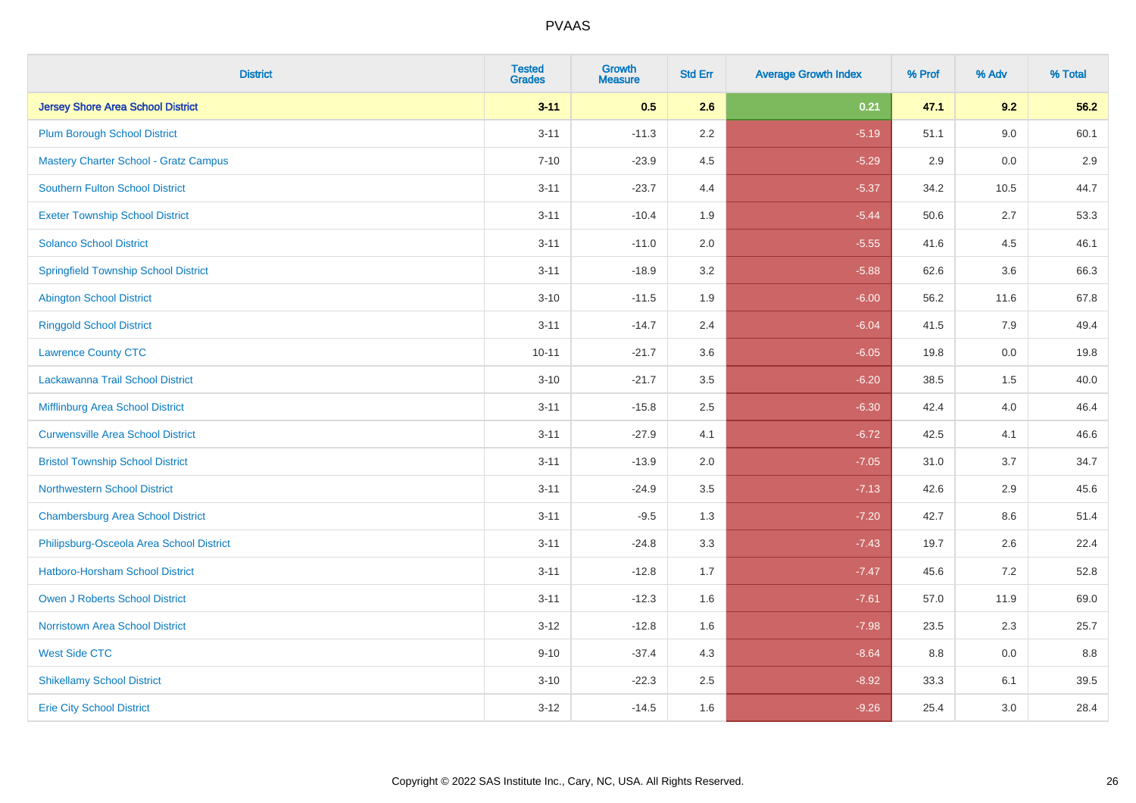| <b>District</b>                              | <b>Tested</b><br><b>Grades</b> | <b>Growth</b><br><b>Measure</b> | <b>Std Err</b> | <b>Average Growth Index</b> | % Prof | % Adv | % Total |
|----------------------------------------------|--------------------------------|---------------------------------|----------------|-----------------------------|--------|-------|---------|
| <b>Jersey Shore Area School District</b>     | $3 - 11$                       | 0.5                             | 2.6            | 0.21                        | 47.1   | 9.2   | 56.2    |
| <b>Plum Borough School District</b>          | $3 - 11$                       | $-11.3$                         | 2.2            | $-5.19$                     | 51.1   | 9.0   | 60.1    |
| <b>Mastery Charter School - Gratz Campus</b> | $7 - 10$                       | $-23.9$                         | 4.5            | $-5.29$                     | 2.9    | 0.0   | 2.9     |
| Southern Fulton School District              | $3 - 11$                       | $-23.7$                         | 4.4            | $-5.37$                     | 34.2   | 10.5  | 44.7    |
| <b>Exeter Township School District</b>       | $3 - 11$                       | $-10.4$                         | 1.9            | $-5.44$                     | 50.6   | 2.7   | 53.3    |
| <b>Solanco School District</b>               | $3 - 11$                       | $-11.0$                         | 2.0            | $-5.55$                     | 41.6   | 4.5   | 46.1    |
| <b>Springfield Township School District</b>  | $3 - 11$                       | $-18.9$                         | 3.2            | $-5.88$                     | 62.6   | 3.6   | 66.3    |
| <b>Abington School District</b>              | $3 - 10$                       | $-11.5$                         | 1.9            | $-6.00$                     | 56.2   | 11.6  | 67.8    |
| <b>Ringgold School District</b>              | $3 - 11$                       | $-14.7$                         | 2.4            | $-6.04$                     | 41.5   | 7.9   | 49.4    |
| <b>Lawrence County CTC</b>                   | $10 - 11$                      | $-21.7$                         | 3.6            | $-6.05$                     | 19.8   | 0.0   | 19.8    |
| Lackawanna Trail School District             | $3 - 10$                       | $-21.7$                         | 3.5            | $-6.20$                     | 38.5   | 1.5   | 40.0    |
| Mifflinburg Area School District             | $3 - 11$                       | $-15.8$                         | 2.5            | $-6.30$                     | 42.4   | 4.0   | 46.4    |
| <b>Curwensville Area School District</b>     | $3 - 11$                       | $-27.9$                         | 4.1            | $-6.72$                     | 42.5   | 4.1   | 46.6    |
| <b>Bristol Township School District</b>      | $3 - 11$                       | $-13.9$                         | 2.0            | $-7.05$                     | 31.0   | 3.7   | 34.7    |
| <b>Northwestern School District</b>          | $3 - 11$                       | $-24.9$                         | 3.5            | $-7.13$                     | 42.6   | 2.9   | 45.6    |
| <b>Chambersburg Area School District</b>     | $3 - 11$                       | $-9.5$                          | 1.3            | $-7.20$                     | 42.7   | 8.6   | 51.4    |
| Philipsburg-Osceola Area School District     | $3 - 11$                       | $-24.8$                         | 3.3            | $-7.43$                     | 19.7   | 2.6   | 22.4    |
| Hatboro-Horsham School District              | $3 - 11$                       | $-12.8$                         | 1.7            | $-7.47$                     | 45.6   | 7.2   | 52.8    |
| <b>Owen J Roberts School District</b>        | $3 - 11$                       | $-12.3$                         | 1.6            | $-7.61$                     | 57.0   | 11.9  | 69.0    |
| <b>Norristown Area School District</b>       | $3 - 12$                       | $-12.8$                         | 1.6            | $-7.98$                     | 23.5   | 2.3   | 25.7    |
| <b>West Side CTC</b>                         | $9 - 10$                       | $-37.4$                         | 4.3            | $-8.64$                     | 8.8    | 0.0   | 8.8     |
| <b>Shikellamy School District</b>            | $3 - 10$                       | $-22.3$                         | 2.5            | $-8.92$                     | 33.3   | 6.1   | 39.5    |
| <b>Erie City School District</b>             | $3 - 12$                       | $-14.5$                         | 1.6            | $-9.26$                     | 25.4   | 3.0   | 28.4    |